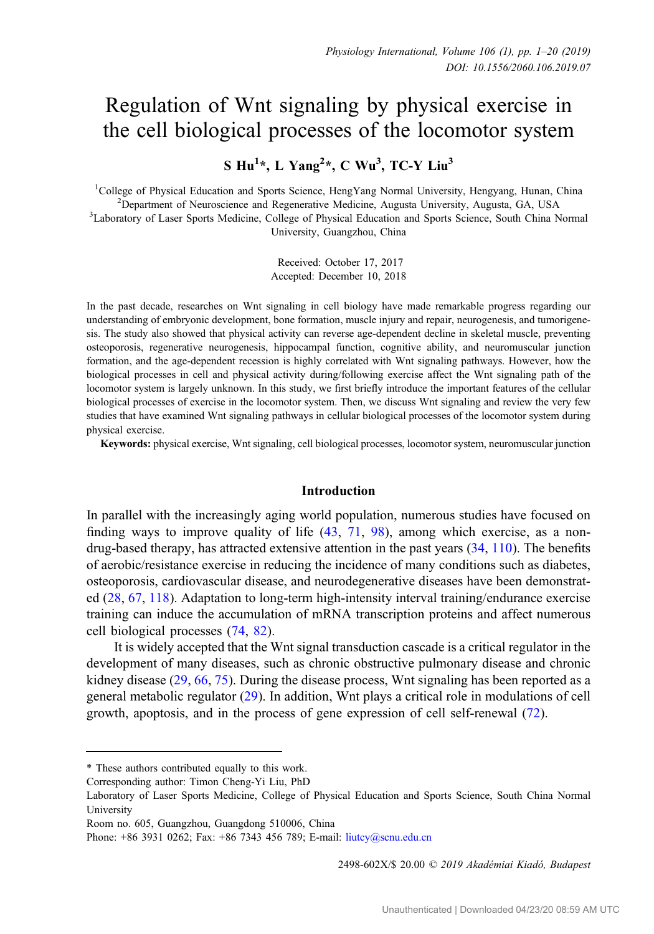# Regulation of Wnt signaling by physical exercise in the cell biological processes of the locomotor system

S  $Hu^{1*}$ , L Yang<sup>2</sup>\*, C Wu<sup>3</sup>, TC-Y Liu<sup>3</sup>

<sup>1</sup>College of Physical Education and Sports Science, HengYang Normal University, Hengyang, Hunan, China <sup>2</sup> Department of Neuroscience and Regenerative Medicine, Augusta University, Augusta GA, USA  $<sup>2</sup>D$ epartment of Neuroscience and Regenerative Medicine, Augusta University, Augusta, GA, USA</sup> <sup>3</sup>Laboratory of Laser Sports Medicine, College of Physical Education and Sports Science, South China Normal University, Guangzhou, China

> Received: October 17, 2017 Accepted: December 10, 2018

In the past decade, researches on Wnt signaling in cell biology have made remarkable progress regarding our understanding of embryonic development, bone formation, muscle injury and repair, neurogenesis, and tumorigenesis. The study also showed that physical activity can reverse age-dependent decline in skeletal muscle, preventing osteoporosis, regenerative neurogenesis, hippocampal function, cognitive ability, and neuromuscular junction formation, and the age-dependent recession is highly correlated with Wnt signaling pathways. However, how the biological processes in cell and physical activity during/following exercise affect the Wnt signaling path of the locomotor system is largely unknown. In this study, we first briefly introduce the important features of the cellular biological processes of exercise in the locomotor system. Then, we discuss Wnt signaling and review the very few studies that have examined Wnt signaling pathways in cellular biological processes of the locomotor system during physical exercise.

Keywords: physical exercise, Wnt signaling, cell biological processes, locomotor system, neuromuscular junction

# Introduction

In parallel with the increasingly aging world population, numerous studies have focused on finding ways to improve quality of life  $(43, 71, 98)$  $(43, 71, 98)$  $(43, 71, 98)$  $(43, 71, 98)$  $(43, 71, 98)$  $(43, 71, 98)$ , among which exercise, as a nondrug-based therapy, has attracted extensive attention in the past years [\(34](#page-15-0), [110](#page-18-0)). The benefits of aerobic/resistance exercise in reducing the incidence of many conditions such as diabetes, osteoporosis, cardiovascular disease, and neurodegenerative diseases have been demonstrated [\(28](#page-14-0), [67](#page-16-0), [118](#page-18-0)). Adaptation to long-term high-intensity interval training/endurance exercise training can induce the accumulation of mRNA transcription proteins and affect numerous cell biological processes [\(74](#page-16-0), [82\)](#page-17-0).

It is widely accepted that the Wnt signal transduction cascade is a critical regulator in the development of many diseases, such as chronic obstructive pulmonary disease and chronic kidney disease ([29,](#page-14-0) [66](#page-16-0), [75](#page-16-0)). During the disease process, Wnt signaling has been reported as a general metabolic regulator ([29\)](#page-14-0). In addition, Wnt plays a critical role in modulations of cell growth, apoptosis, and in the process of gene expression of cell self-renewal [\(72](#page-16-0)).

2498-602X/\$ 20.00 © 2019 Akadémiai Kiadó, Budapest

<sup>\*</sup> These authors contributed equally to this work.

Corresponding author: Timon Cheng-Yi Liu, PhD

Laboratory of Laser Sports Medicine, College of Physical Education and Sports Science, South China Normal University

Room no. 605, Guangzhou, Guangdong 510006, China

Phone: +86 3931 0262; Fax: +86 7343 456 789; E-mail: [liutcy@scnu.edu.cn](mailto:liutcy@scnu.edu.cn)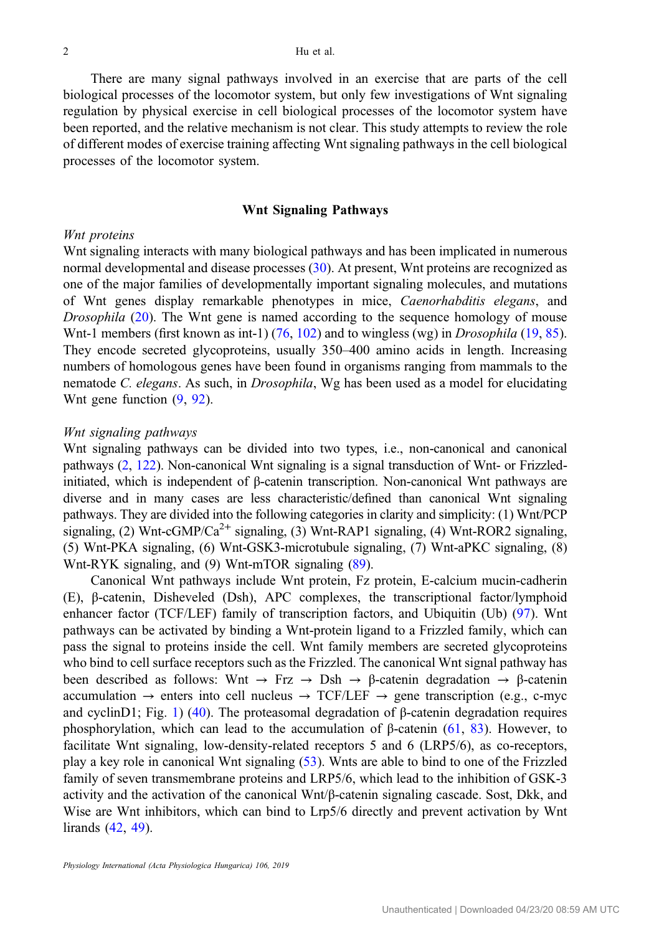There are many signal pathways involved in an exercise that are parts of the cell biological processes of the locomotor system, but only few investigations of Wnt signaling regulation by physical exercise in cell biological processes of the locomotor system have been reported, and the relative mechanism is not clear. This study attempts to review the role of different modes of exercise training affecting Wnt signaling pathways in the cell biological processes of the locomotor system.

# Wnt Signaling Pathways

# Wnt proteins

Wnt signaling interacts with many biological pathways and has been implicated in numerous normal developmental and disease processes ([30\)](#page-14-0). At present, Wnt proteins are recognized as one of the major families of developmentally important signaling molecules, and mutations of Wnt genes display remarkable phenotypes in mice, Caenorhabditis elegans, and Drosophila [\(20](#page-14-0)). The Wnt gene is named according to the sequence homology of mouse Wnt-1 members (first known as int-1)  $(76, 102)$  $(76, 102)$  $(76, 102)$  $(76, 102)$  and to wingless (wg) in *Drosophila* [\(19](#page-14-0), [85](#page-17-0)). They encode secreted glycoproteins, usually 350–400 amino acids in length. Increasing numbers of homologous genes have been found in organisms ranging from mammals to the nematode C. elegans. As such, in Drosophila, Wg has been used as a model for elucidating Wnt gene function ([9,](#page-14-0) [92\)](#page-17-0).

### Wnt signaling pathways

Wnt signaling pathways can be divided into two types, i.e., non-canonical and canonical pathways ([2,](#page-13-0) [122\)](#page-18-0). Non-canonical Wnt signaling is a signal transduction of Wnt- or Frizzledinitiated, which is independent of β-catenin transcription. Non-canonical Wnt pathways are diverse and in many cases are less characteristic/defined than canonical Wnt signaling pathways. They are divided into the following categories in clarity and simplicity: (1) Wnt/PCP signaling, (2) Wnt-cGMP/Ca<sup>2+</sup> signaling, (3) Wnt-RAP1 signaling, (4) Wnt-ROR2 signaling, (5) Wnt-PKA signaling, (6) Wnt-GSK3-microtubule signaling, (7) Wnt-aPKC signaling, (8) Wnt-RYK signaling, and (9) Wnt-mTOR signaling ([89](#page-17-0)).

Canonical Wnt pathways include Wnt protein, Fz protein, E-calcium mucin-cadherin (E), β-catenin, Disheveled (Dsh), APC complexes, the transcriptional factor/lymphoid enhancer factor (TCF/LEF) family of transcription factors, and Ubiquitin (Ub) [\(97](#page-17-0)). Wnt pathways can be activated by binding a Wnt-protein ligand to a Frizzled family, which can pass the signal to proteins inside the cell. Wnt family members are secreted glycoproteins who bind to cell surface receptors such as the Frizzled. The canonical Wnt signal pathway has been described as follows: Wnt  $\rightarrow$  Frz  $\rightarrow$  Dsh  $\rightarrow$  β-catenin degradation  $\rightarrow$  β-catenin accumulation  $\rightarrow$  enters into cell nucleus  $\rightarrow$  TCF/LEF  $\rightarrow$  gene transcription (e.g., c-myc and cyclinD[1](#page-2-0); Fig. 1) ([40\)](#page-15-0). The proteasomal degradation of  $\beta$ -catenin degradation requires phosphorylation, which can lead to the accumulation of β-catenin ([61,](#page-16-0) [83](#page-17-0)). However, to facilitate Wnt signaling, low-density-related receptors 5 and 6 (LRP5/6), as co-receptors, play a key role in canonical Wnt signaling ([53\)](#page-15-0). Wnts are able to bind to one of the Frizzled family of seven transmembrane proteins and LRP5/6, which lead to the inhibition of GSK-3 activity and the activation of the canonical  $Wnt/\beta$ -catenin signaling cascade. Sost, Dkk, and Wise are Wnt inhibitors, which can bind to Lrp5/6 directly and prevent activation by Wnt lirands ([42,](#page-15-0) [49\)](#page-15-0).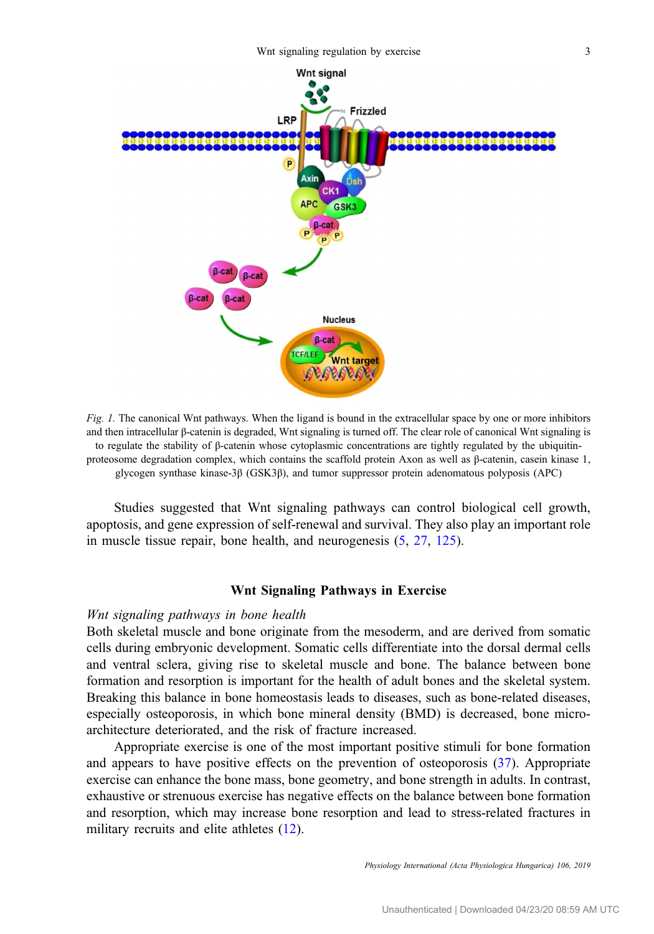<span id="page-2-0"></span>

Fig. 1. The canonical Wnt pathways. When the ligand is bound in the extracellular space by one or more inhibitors and then intracellular β-catenin is degraded, Wnt signaling is turned off. The clear role of canonical Wnt signaling is to regulate the stability of β-catenin whose cytoplasmic concentrations are tightly regulated by the ubiquitinproteosome degradation complex, which contains the scaffold protein Axon as well as β-catenin, casein kinase 1, glycogen synthase kinase-3β (GSK3β), and tumor suppressor protein adenomatous polyposis (APC)

Studies suggested that Wnt signaling pathways can control biological cell growth, apoptosis, and gene expression of self-renewal and survival. They also play an important role in muscle tissue repair, bone health, and neurogenesis [\(5](#page-14-0), [27](#page-14-0), [125](#page-19-0)).

# Wnt Signaling Pathways in Exercise

#### Wnt signaling pathways in bone health

Both skeletal muscle and bone originate from the mesoderm, and are derived from somatic cells during embryonic development. Somatic cells differentiate into the dorsal dermal cells and ventral sclera, giving rise to skeletal muscle and bone. The balance between bone formation and resorption is important for the health of adult bones and the skeletal system. Breaking this balance in bone homeostasis leads to diseases, such as bone-related diseases, especially osteoporosis, in which bone mineral density (BMD) is decreased, bone microarchitecture deteriorated, and the risk of fracture increased.

Appropriate exercise is one of the most important positive stimuli for bone formation and appears to have positive effects on the prevention of osteoporosis [\(37](#page-15-0)). Appropriate exercise can enhance the bone mass, bone geometry, and bone strength in adults. In contrast, exhaustive or strenuous exercise has negative effects on the balance between bone formation and resorption, which may increase bone resorption and lead to stress-related fractures in military recruits and elite athletes ([12\)](#page-14-0).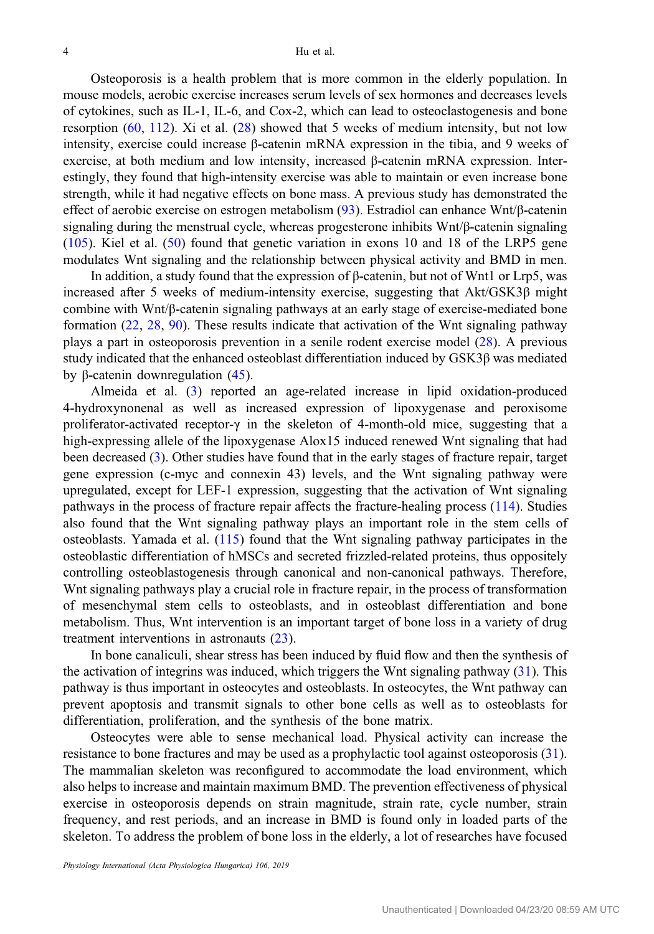Osteoporosis is a health problem that is more common in the elderly population. In mouse models, aerobic exercise increases serum levels of sex hormones and decreases levels of cytokines, such as IL-1, IL-6, and Cox-2, which can lead to osteoclastogenesis and bone resorption ([60,](#page-16-0) [112\)](#page-18-0). Xi et al. ([28\)](#page-14-0) showed that 5 weeks of medium intensity, but not low intensity, exercise could increase β-catenin mRNA expression in the tibia, and 9 weeks of exercise, at both medium and low intensity, increased β-catenin mRNA expression. Interestingly, they found that high-intensity exercise was able to maintain or even increase bone strength, while it had negative effects on bone mass. A previous study has demonstrated the effect of aerobic exercise on estrogen metabolism ([93\)](#page-17-0). Estradiol can enhance Wnt/β-catenin signaling during the menstrual cycle, whereas progesterone inhibits Wnt/β-catenin signaling [\(105](#page-18-0)). Kiel et al. ([50\)](#page-15-0) found that genetic variation in exons 10 and 18 of the LRP5 gene modulates Wnt signaling and the relationship between physical activity and BMD in men.

In addition, a study found that the expression of β-catenin, but not of Wnt1 or Lrp5, was increased after 5 weeks of medium-intensity exercise, suggesting that Akt/GSK3β might combine with Wnt/β-catenin signaling pathways at an early stage of exercise-mediated bone formation [\(22](#page-14-0), [28](#page-14-0), [90\)](#page-17-0). These results indicate that activation of the Wnt signaling pathway plays a part in osteoporosis prevention in a senile rodent exercise model ([28\)](#page-14-0). A previous study indicated that the enhanced osteoblast differentiation induced by GSK3β was mediated by β-catenin downregulation ([45\)](#page-15-0).

Almeida et al. ([3\)](#page-13-0) reported an age-related increase in lipid oxidation-produced 4-hydroxynonenal as well as increased expression of lipoxygenase and peroxisome proliferator-activated receptor-γ in the skeleton of 4-month-old mice, suggesting that a high-expressing allele of the lipoxygenase Alox15 induced renewed Wnt signaling that had been decreased [\(3](#page-13-0)). Other studies have found that in the early stages of fracture repair, target gene expression (c-myc and connexin 43) levels, and the Wnt signaling pathway were upregulated, except for LEF-1 expression, suggesting that the activation of Wnt signaling pathways in the process of fracture repair affects the fracture-healing process [\(114](#page-18-0)). Studies also found that the Wnt signaling pathway plays an important role in the stem cells of osteoblasts. Yamada et al. [\(115\)](#page-18-0) found that the Wnt signaling pathway participates in the osteoblastic differentiation of hMSCs and secreted frizzled-related proteins, thus oppositely controlling osteoblastogenesis through canonical and non-canonical pathways. Therefore, Whet signaling pathways play a crucial role in fracture repair, in the process of transformation of mesenchymal stem cells to osteoblasts, and in osteoblast differentiation and bone metabolism. Thus, Wnt intervention is an important target of bone loss in a variety of drug treatment interventions in astronauts [\(23](#page-14-0)).

In bone canaliculi, shear stress has been induced by fluid flow and then the synthesis of the activation of integrins was induced, which triggers the Wnt signaling pathway [\(31](#page-15-0)). This pathway is thus important in osteocytes and osteoblasts. In osteocytes, the Wnt pathway can prevent apoptosis and transmit signals to other bone cells as well as to osteoblasts for differentiation, proliferation, and the synthesis of the bone matrix.

Osteocytes were able to sense mechanical load. Physical activity can increase the resistance to bone fractures and may be used as a prophylactic tool against osteoporosis [\(31](#page-15-0)). The mammalian skeleton was reconfigured to accommodate the load environment, which also helps to increase and maintain maximum BMD. The prevention effectiveness of physical exercise in osteoporosis depends on strain magnitude, strain rate, cycle number, strain frequency, and rest periods, and an increase in BMD is found only in loaded parts of the skeleton. To address the problem of bone loss in the elderly, a lot of researches have focused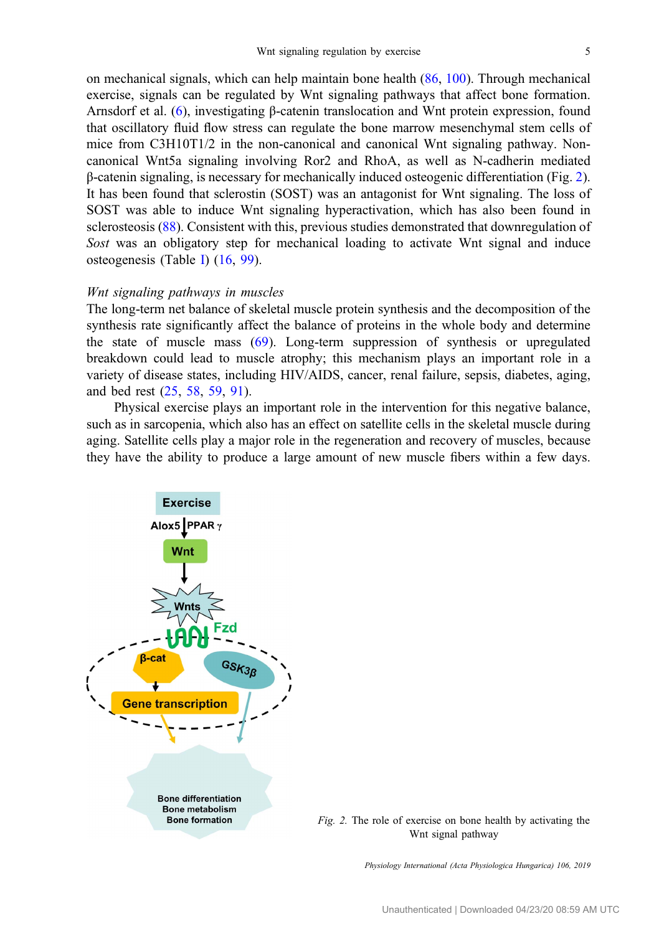on mechanical signals, which can help maintain bone health [\(86](#page-17-0), [100](#page-18-0)). Through mechanical exercise, signals can be regulated by Wnt signaling pathways that affect bone formation. Arnsdorf et al. ([6\)](#page-14-0), investigating β-catenin translocation and Wnt protein expression, found that oscillatory fluid flow stress can regulate the bone marrow mesenchymal stem cells of mice from C3H10T1/2 in the non-canonical and canonical Wnt signaling pathway. Noncanonical Wnt5a signaling involving Ror2 and RhoA, as well as N-cadherin mediated β-catenin signaling, is necessary for mechanically induced osteogenic differentiation (Fig. 2). It has been found that sclerostin (SOST) was an antagonist for Wnt signaling. The loss of SOST was able to induce Wnt signaling hyperactivation, which has also been found in sclerosteosis [\(88](#page-17-0)). Consistent with this, previous studies demonstrated that downregulation of Sost was an obligatory step for mechanical loading to activate Wnt signal and induce osteogenesis (Table [I](#page-5-0)) [\(16](#page-14-0), [99](#page-17-0)).

# Wnt signaling pathways in muscles

The long-term net balance of skeletal muscle protein synthesis and the decomposition of the synthesis rate significantly affect the balance of proteins in the whole body and determine the state of muscle mass ([69\)](#page-16-0). Long-term suppression of synthesis or upregulated breakdown could lead to muscle atrophy; this mechanism plays an important role in a variety of disease states, including HIV/AIDS, cancer, renal failure, sepsis, diabetes, aging, and bed rest ([25,](#page-14-0) [58,](#page-16-0) [59,](#page-16-0) [91\)](#page-17-0).

Physical exercise plays an important role in the intervention for this negative balance, such as in sarcopenia, which also has an effect on satellite cells in the skeletal muscle during aging. Satellite cells play a major role in the regeneration and recovery of muscles, because they have the ability to produce a large amount of new muscle fibers within a few days.



Fig. 2. The role of exercise on bone health by activating the Wnt signal pathway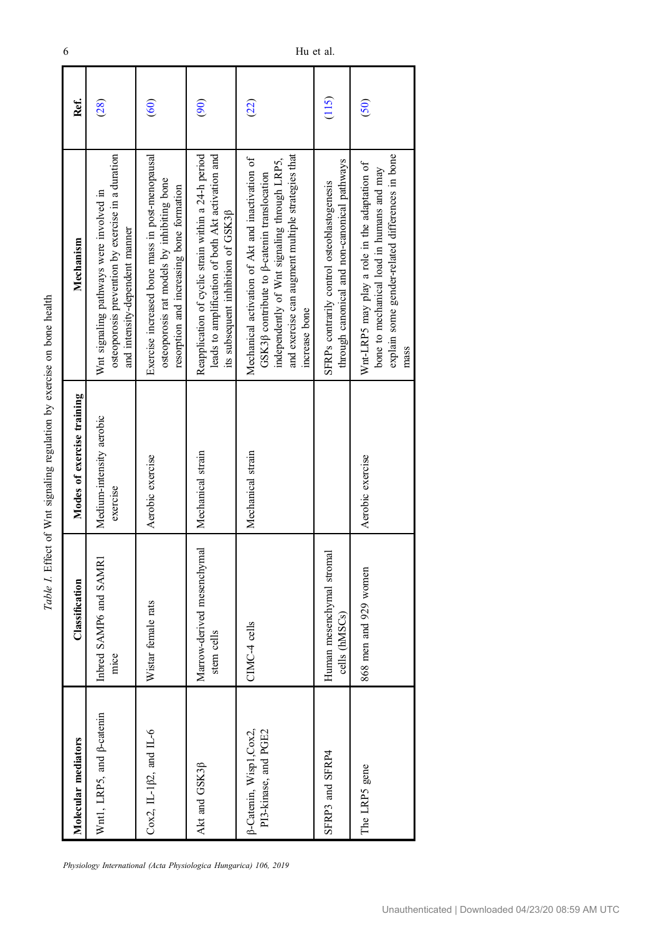| an hanna<br>ì           |
|-------------------------|
|                         |
| ny avarone :            |
|                         |
| war cimaling ragilation |
| l                       |
| $\ddot{\phantom{0}}$    |
| I                       |
| :<br>.                  |
| i<br>Š<br>i             |
|                         |
| ĩ                       |

<span id="page-5-0"></span>

| Molecular mediators                             | Classification                             | Modes of exercise training           | Mechanism                                                                                                                                                                                                                    | Ref.          |
|-------------------------------------------------|--------------------------------------------|--------------------------------------|------------------------------------------------------------------------------------------------------------------------------------------------------------------------------------------------------------------------------|---------------|
| Wnt1, LRP5, and $\beta$ -catenin                | nbred SAMP6 and SAMR1<br>mice              | Medium-intensity aerobic<br>exercise | osteoporosis prevention by exercise in a duration<br>Wnt signaling pathways were involved in<br>and intensity-dependent manner                                                                                               | (28)          |
| Cox2, IL-1 $\beta$ 2, and IL-6                  | Wistar female rats                         | Aerobic exercise                     | Exercise increased bone mass in post-menopausal<br>osteoporosis rat models by inhibiting bone<br>resorption and increasing bone formation                                                                                    | (60)          |
| Akt and GSK3ß                                   | Marrow-derived mesenchymal<br>stem cells   | Mechanical strain                    | leads to amplification of both Akt activation and<br>Reapplication of cyclic strain within a 24-h period<br>its subsequent inhibition of GSK3ß                                                                               | $\widehat{5}$ |
| β-Catenin, Wisp1, Cox2,<br>PI3-kinase, and PGE2 | CIMC-4 cells                               | Mechanical strain                    | and exercise can augment multiple strategies that<br>Mechanical activation of Akt and inactivation of<br>independently of Wnt signaling through LRP5,<br>GSK3ß contribute to $\beta$ -catenin translocation<br>increase bone | (22)          |
| SFRP3 and SFRP4                                 | Juman mesenchymal stromal<br>cells (hMSCs) |                                      | through canonical and non-canonical pathways<br>SFRPs contrarily control osteoblastogenesis                                                                                                                                  | (115)         |
| The LRP5 gene                                   | 868 men and 929 women                      | Aerobic exercise                     | explain some gender-related differences in bone<br>Wnt-LRP5 may play a role in the adaptation of<br>bone to mechanical load in humans and may<br>mass                                                                        | (50)          |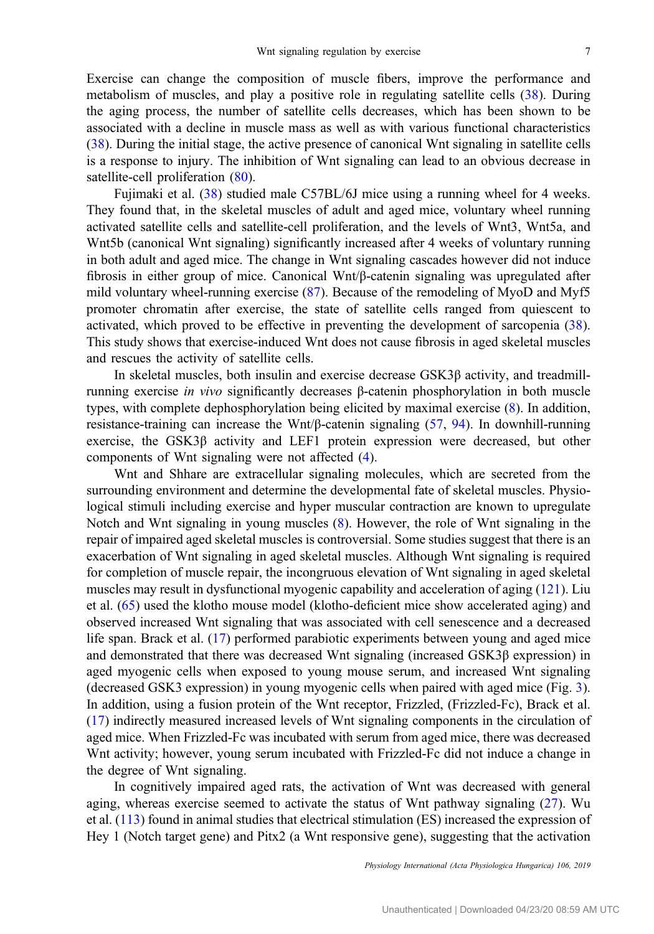Exercise can change the composition of muscle fibers, improve the performance and metabolism of muscles, and play a positive role in regulating satellite cells [\(38](#page-15-0)). During the aging process, the number of satellite cells decreases, which has been shown to be associated with a decline in muscle mass as well as with various functional characteristics [\(38](#page-15-0)). During the initial stage, the active presence of canonical Wnt signaling in satellite cells is a response to injury. The inhibition of Wnt signaling can lead to an obvious decrease in satellite-cell proliferation ([80\)](#page-17-0).

Fujimaki et al. [\(38](#page-15-0)) studied male C57BL/6J mice using a running wheel for 4 weeks. They found that, in the skeletal muscles of adult and aged mice, voluntary wheel running activated satellite cells and satellite-cell proliferation, and the levels of Wnt3, Wnt5a, and Wnt5b (canonical Wnt signaling) significantly increased after 4 weeks of voluntary running in both adult and aged mice. The change in Wnt signaling cascades however did not induce fibrosis in either group of mice. Canonical Wnt/β-catenin signaling was upregulated after mild voluntary wheel-running exercise [\(87](#page-17-0)). Because of the remodeling of MyoD and Myf5 promoter chromatin after exercise, the state of satellite cells ranged from quiescent to activated, which proved to be effective in preventing the development of sarcopenia [\(38](#page-15-0)). This study shows that exercise-induced Wnt does not cause fibrosis in aged skeletal muscles and rescues the activity of satellite cells.

In skeletal muscles, both insulin and exercise decrease  $GSK3\beta$  activity, and treadmillrunning exercise in vivo significantly decreases β-catenin phosphorylation in both muscle types, with complete dephosphorylation being elicited by maximal exercise [\(8](#page-14-0)). In addition, resistance-training can increase the Wnt/β-catenin signaling ([57,](#page-16-0) [94\)](#page-17-0). In downhill-running exercise, the GSK3β activity and LEF1 protein expression were decreased, but other components of Wnt signaling were not affected [\(4](#page-14-0)).

Wnt and Shhare are extracellular signaling molecules, which are secreted from the surrounding environment and determine the developmental fate of skeletal muscles. Physiological stimuli including exercise and hyper muscular contraction are known to upregulate Notch and Wnt signaling in young muscles ([8\)](#page-14-0). However, the role of Wnt signaling in the repair of impaired aged skeletal muscles is controversial. Some studies suggest that there is an exacerbation of Wnt signaling in aged skeletal muscles. Although Wnt signaling is required for completion of muscle repair, the incongruous elevation of Wnt signaling in aged skeletal muscles may result in dysfunctional myogenic capability and acceleration of aging [\(121](#page-18-0)). Liu et al. ([65\)](#page-16-0) used the klotho mouse model (klotho-deficient mice show accelerated aging) and observed increased Wnt signaling that was associated with cell senescence and a decreased life span. Brack et al. ([17\)](#page-14-0) performed parabiotic experiments between young and aged mice and demonstrated that there was decreased Wnt signaling (increased  $GSK3\beta$  expression) in aged myogenic cells when exposed to young mouse serum, and increased Wnt signaling (decreased GSK3 expression) in young myogenic cells when paired with aged mice (Fig. [3](#page-7-0)). In addition, using a fusion protein of the Wnt receptor, Frizzled, (Frizzled-Fc), Brack et al. [\(17](#page-14-0)) indirectly measured increased levels of Wnt signaling components in the circulation of aged mice. When Frizzled-Fc was incubated with serum from aged mice, there was decreased Wnt activity; however, young serum incubated with Frizzled-Fc did not induce a change in the degree of Wnt signaling.

In cognitively impaired aged rats, the activation of Wnt was decreased with general aging, whereas exercise seemed to activate the status of Wnt pathway signaling [\(27](#page-14-0)). Wu et al. [\(113](#page-18-0)) found in animal studies that electrical stimulation (ES) increased the expression of Hey 1 (Notch target gene) and Pitx2 (a Wnt responsive gene), suggesting that the activation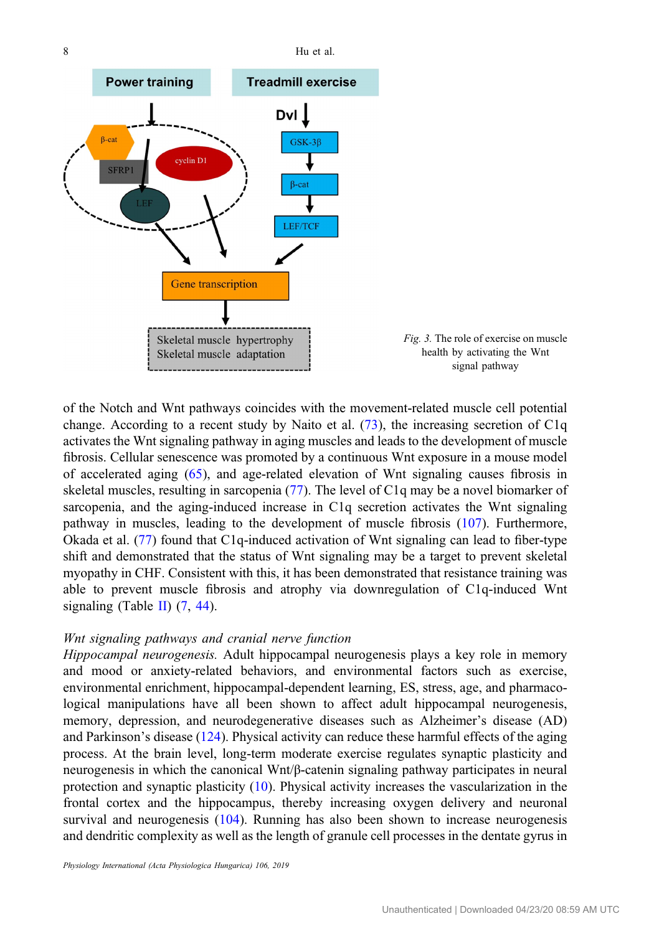<span id="page-7-0"></span>

of the Notch and Wnt pathways coincides with the movement-related muscle cell potential change. According to a recent study by Naito et al. [\(73](#page-16-0)), the increasing secretion of C1q activates the Wnt signaling pathway in aging muscles and leads to the development of muscle fibrosis. Cellular senescence was promoted by a continuous Wnt exposure in a mouse model of accelerated aging [\(65\)](#page-16-0), and age-related elevation of Wnt signaling causes fibrosis in skeletal muscles, resulting in sarcopenia ([77\)](#page-17-0). The level of C1q may be a novel biomarker of sarcopenia, and the aging-induced increase in C1q secretion activates the Wnt signaling pathway in muscles, leading to the development of muscle fibrosis ([107\)](#page-18-0). Furthermore, Okada et al. ([77\)](#page-17-0) found that C1q-induced activation of Wnt signaling can lead to fiber-type shift and demonstrated that the status of Wnt signaling may be a target to prevent skeletal myopathy in CHF. Consistent with this, it has been demonstrated that resistance training was able to prevent muscle fibrosis and atrophy via downregulation of C1q-induced Wnt signaling (Table [II\)](#page-8-0)  $(7, 44)$  $(7, 44)$  $(7, 44)$  $(7, 44)$ .

# Wnt signaling pathways and cranial nerve function

Hippocampal neurogenesis. Adult hippocampal neurogenesis plays a key role in memory and mood or anxiety-related behaviors, and environmental factors such as exercise, environmental enrichment, hippocampal-dependent learning, ES, stress, age, and pharmacological manipulations have all been shown to affect adult hippocampal neurogenesis, memory, depression, and neurodegenerative diseases such as Alzheimer's disease (AD) and Parkinson's disease ([124\)](#page-19-0). Physical activity can reduce these harmful effects of the aging process. At the brain level, long-term moderate exercise regulates synaptic plasticity and neurogenesis in which the canonical Wnt/β-catenin signaling pathway participates in neural protection and synaptic plasticity [\(10](#page-14-0)). Physical activity increases the vascularization in the frontal cortex and the hippocampus, thereby increasing oxygen delivery and neuronal survival and neurogenesis ([104\)](#page-18-0). Running has also been shown to increase neurogenesis and dendritic complexity as well as the length of granule cell processes in the dentate gyrus in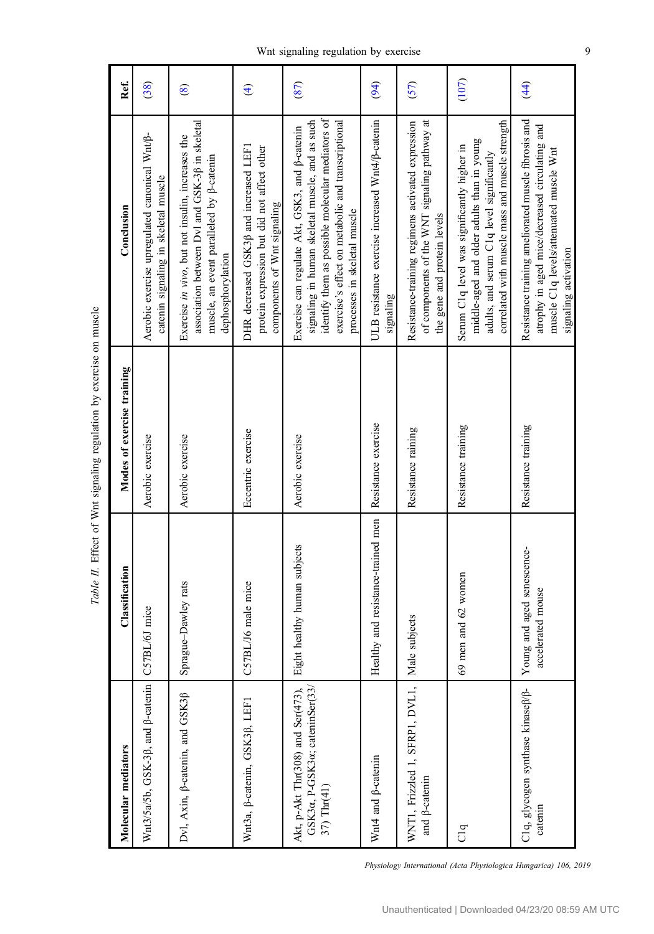<span id="page-8-0"></span>

| Molecular mediators                                                                | Classification                                  | Modes of exercise training | Conclusion                                                                                                                                                                                                                                         | Ref.                   |
|------------------------------------------------------------------------------------|-------------------------------------------------|----------------------------|----------------------------------------------------------------------------------------------------------------------------------------------------------------------------------------------------------------------------------------------------|------------------------|
| Wnt3/5a/5b, GSK-3ß, and <sup>β-catenin</sup>                                       | C57BL/6J mice                                   | Aerobic exercise           | Aerobic exercise upregulated canonical Wnt/ß-<br>catenin signaling in skeletal muscle                                                                                                                                                              | (38)                   |
| Dvl, Axin, $\beta$ -catenin, and GSK3 $\beta$                                      | Sprague-Dawley rats                             | Aerobic exercise           | association between Dvl and GSK-30 in skeletal<br>Exercise in vivo, but not insulin, increases the<br>muscle, an event paralleled by $\beta$ -catenin<br>dephosphorylation                                                                         | $\circledast$          |
| Wnt3a, B-catenin, GSK3ß, LEF1                                                      | C57BL/J6 male mice                              | Eccentric exercise         | DHR decreased GSK3ß and increased LEF1<br>protein expression but did not affect other<br>components of Wnt signaling                                                                                                                               | $\widehat{\mathbf{f}}$ |
| GSK3a, P-GSK3a; cateninSer(33/<br>Akt, p-Akt Thr(308) and Ser(473),<br>37) Thr(41) | Eight healthy human subjects                    | Aerobic exercise           | identify them as possible molecular mediators of<br>signaling in human skeletal muscle, and as such<br>exercise's effect on metabolic and transcriptional<br>Exercise can regulate Akt, GSK3, and $\beta$ -catenin<br>processes in skeletal muscle | (87)                   |
| Wnt4 and <sub>B</sub> -catenin                                                     | Healthy and resistance-trained men              | Resistance exercise        | ULB resistance exercise increased Wnt4/p-catenin<br>signaling                                                                                                                                                                                      | (94)                   |
| WNT1, Frizzled 1, SFRP1, DVL1,<br>and <b><i>p</i>-catenin</b>                      | Male subjects                                   | Resistance raining         | of components of the WNT signaling pathway at<br>Resistance-training regimens activated expression<br>the gene and protein levels                                                                                                                  | (57)                   |
| C1q                                                                                | 69 men and 62 women                             | Resistance training        | correlated with muscle mass and muscle strength<br>middle-aged and older adults than in young<br>Serum C1q level was significantly higher in<br>adults, and serum C1q level significantly                                                          | (107)                  |
| C1q, glycogen synthase kinaseß/ß-<br>catenin                                       | Young and aged senescence-<br>accelerated mouse | Resistance training        | Resistance training ameliorated muscle fibrosis and<br>atrophy in aged mice/decreased circulating and<br>muscle C1q levels/attenuated muscle Wnt<br>signaling activation                                                                           | $\left(44\right)$      |

Table II. Effect of Wnt signaling regulation by exercise on muscle Table II. Effect of Wnt signaling regulation by exercise on muscle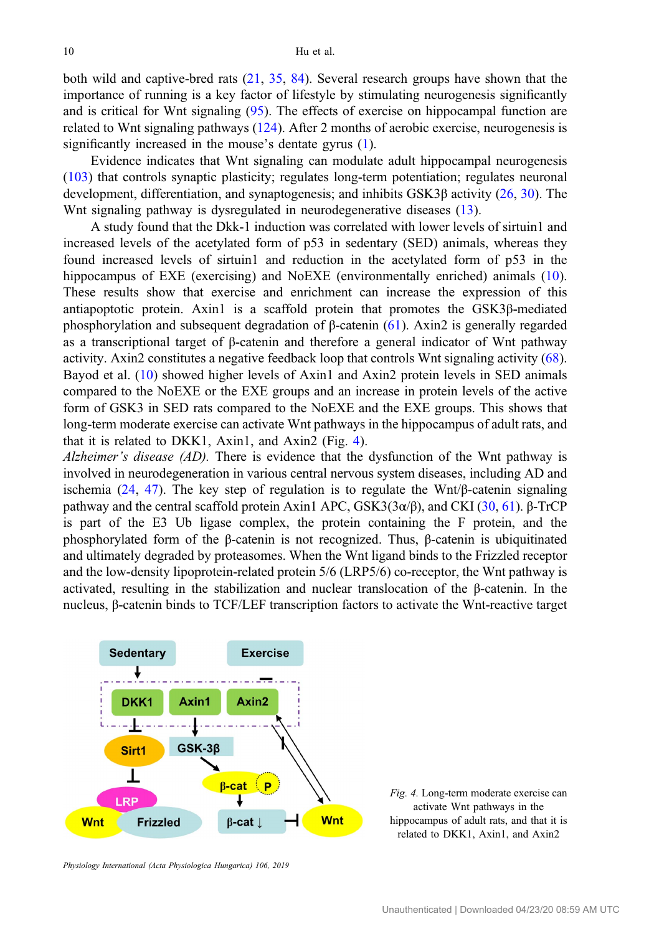both wild and captive-bred rats ([21,](#page-14-0) [35,](#page-15-0) [84\)](#page-17-0). Several research groups have shown that the importance of running is a key factor of lifestyle by stimulating neurogenesis significantly and is critical for Wnt signaling [\(95](#page-17-0)). The effects of exercise on hippocampal function are related to Wnt signaling pathways [\(124](#page-19-0)). After 2 months of aerobic exercise, neurogenesis is significantly increased in the mouse's dentate gyrus ([1\)](#page-13-0).

Evidence indicates that Wnt signaling can modulate adult hippocampal neurogenesis [\(103](#page-18-0)) that controls synaptic plasticity; regulates long-term potentiation; regulates neuronal development, differentiation, and synaptogenesis; and inhibits GSK3β activity [\(26](#page-14-0), [30](#page-14-0)). The Wnt signaling pathway is dysregulated in neurodegenerative diseases [\(13\)](#page-14-0).

A study found that the Dkk-1 induction was correlated with lower levels of sirtuin1 and increased levels of the acetylated form of p53 in sedentary (SED) animals, whereas they found increased levels of sirtuin1 and reduction in the acetylated form of p53 in the hippocampus of EXE (exercising) and NoEXE (environmentally enriched) animals [\(10](#page-14-0)). These results show that exercise and enrichment can increase the expression of this antiapoptotic protein. Axin1 is a scaffold protein that promotes the GSK3β-mediated phosphorylation and subsequent degradation of β-catenin [\(61](#page-16-0)). Axin2 is generally regarded as a transcriptional target of β-catenin and therefore a general indicator of Wnt pathway activity. Axin2 constitutes a negative feedback loop that controls Wnt signaling activity [\(68](#page-16-0)). Bayod et al. ([10\)](#page-14-0) showed higher levels of Axin1 and Axin2 protein levels in SED animals compared to the NoEXE or the EXE groups and an increase in protein levels of the active form of GSK3 in SED rats compared to the NoEXE and the EXE groups. This shows that long-term moderate exercise can activate Wnt pathways in the hippocampus of adult rats, and that it is related to DKK1, Axin1, and Axin2 (Fig. 4).

Alzheimer's disease  $(AD)$ . There is evidence that the dysfunction of the Wnt pathway is involved in neurodegeneration in various central nervous system diseases, including AD and ischemia ([24,](#page-14-0) [47](#page-15-0)). The key step of regulation is to regulate the Wnt/ $\beta$ -catenin signaling pathway and the central scaffold protein Axin1 APC,  $GSK3(3α/β)$ , and CKI ([30,](#page-14-0) [61](#page-16-0)). β-TrCP is part of the E3 Ub ligase complex, the protein containing the F protein, and the phosphorylated form of the β-catenin is not recognized. Thus, β-catenin is ubiquitinated and ultimately degraded by proteasomes. When the Wnt ligand binds to the Frizzled receptor and the low-density lipoprotein-related protein 5/6 (LRP5/6) co-receptor, the Wnt pathway is activated, resulting in the stabilization and nuclear translocation of the β-catenin. In the nucleus, β-catenin binds to TCF/LEF transcription factors to activate the Wnt-reactive target



Fig. 4. Long-term moderate exercise can activate Wnt pathways in the hippocampus of adult rats, and that it is related to DKK1, Axin1, and Axin2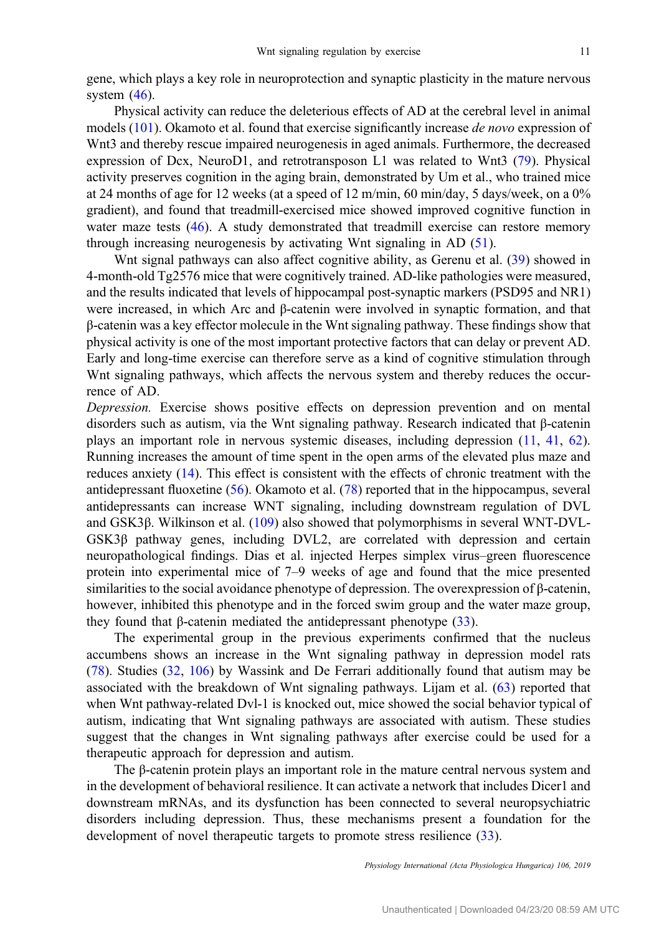gene, which plays a key role in neuroprotection and synaptic plasticity in the mature nervous system  $(46)$  $(46)$ .

Physical activity can reduce the deleterious effects of AD at the cerebral level in animal models [\(101](#page-18-0)). Okamoto et al. found that exercise significantly increase *de novo* expression of Wnt3 and thereby rescue impaired neurogenesis in aged animals. Furthermore, the decreased expression of Dcx, NeuroD1, and retrotransposon L1 was related to Wnt3 ([79\)](#page-17-0). Physical activity preserves cognition in the aging brain, demonstrated by Um et al., who trained mice at 24 months of age for 12 weeks (at a speed of 12 m/min, 60 min/day, 5 days/week, on a 0% gradient), and found that treadmill-exercised mice showed improved cognitive function in water maze tests ([46\)](#page-15-0). A study demonstrated that treadmill exercise can restore memory through increasing neurogenesis by activating Wnt signaling in AD ([51\)](#page-15-0).

Whit signal pathways can also affect cognitive ability, as Gerenu et al. [\(39](#page-15-0)) showed in 4-month-old Tg2576 mice that were cognitively trained. AD-like pathologies were measured, and the results indicated that levels of hippocampal post-synaptic markers (PSD95 and NR1) were increased, in which Arc and β-catenin were involved in synaptic formation, and that β-catenin was a key effector molecule in the Wnt signaling pathway. These findings show that physical activity is one of the most important protective factors that can delay or prevent AD. Early and long-time exercise can therefore serve as a kind of cognitive stimulation through Wnt signaling pathways, which affects the nervous system and thereby reduces the occurrence of AD.

Depression. Exercise shows positive effects on depression prevention and on mental disorders such as autism, via the Wnt signaling pathway. Research indicated that β-catenin plays an important role in nervous systemic diseases, including depression ([11,](#page-14-0) [41,](#page-15-0) [62](#page-16-0)). Running increases the amount of time spent in the open arms of the elevated plus maze and reduces anxiety ([14\)](#page-14-0). This effect is consistent with the effects of chronic treatment with the antidepressant fluoxetine ([56\)](#page-16-0). Okamoto et al. [\(78](#page-17-0)) reported that in the hippocampus, several antidepressants can increase WNT signaling, including downstream regulation of DVL and GSK3β. Wilkinson et al. ([109\)](#page-18-0) also showed that polymorphisms in several WNT-DVL-GSK3β pathway genes, including DVL2, are correlated with depression and certain neuropathological findings. Dias et al. injected Herpes simplex virus–green fluorescence protein into experimental mice of 7–9 weeks of age and found that the mice presented similarities to the social avoidance phenotype of depression. The overexpression of β-catenin, however, inhibited this phenotype and in the forced swim group and the water maze group, they found that β-catenin mediated the antidepressant phenotype  $(33)$  $(33)$ .

The experimental group in the previous experiments confirmed that the nucleus accumbens shows an increase in the Wnt signaling pathway in depression model rats [\(78](#page-17-0)). Studies [\(32,](#page-15-0) [106\)](#page-18-0) by Wassink and De Ferrari additionally found that autism may be associated with the breakdown of Wnt signaling pathways. Lijam et al. ([63\)](#page-16-0) reported that when Wnt pathway-related Dvl-1 is knocked out, mice showed the social behavior typical of autism, indicating that Wnt signaling pathways are associated with autism. These studies suggest that the changes in Wnt signaling pathways after exercise could be used for a therapeutic approach for depression and autism.

The β-catenin protein plays an important role in the mature central nervous system and in the development of behavioral resilience. It can activate a network that includes Dicer1 and downstream mRNAs, and its dysfunction has been connected to several neuropsychiatric disorders including depression. Thus, these mechanisms present a foundation for the development of novel therapeutic targets to promote stress resilience ([33\)](#page-15-0).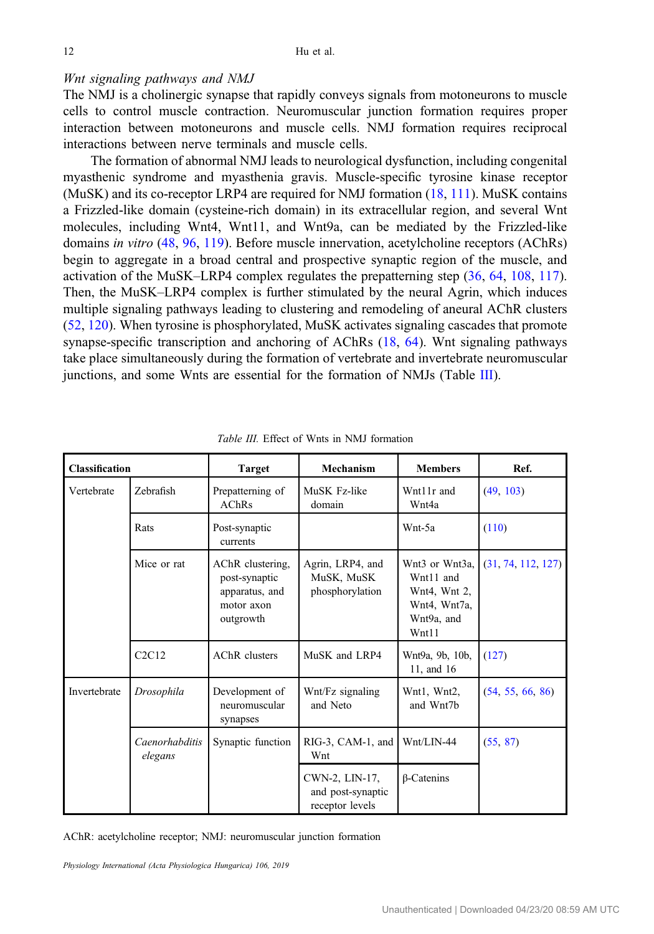## Wnt signaling pathways and NMJ

The NMJ is a cholinergic synapse that rapidly conveys signals from motoneurons to muscle cells to control muscle contraction. Neuromuscular junction formation requires proper interaction between motoneurons and muscle cells. NMJ formation requires reciprocal interactions between nerve terminals and muscle cells.

The formation of abnormal NMJ leads to neurological dysfunction, including congenital myasthenic syndrome and myasthenia gravis. Muscle-specific tyrosine kinase receptor (MuSK) and its co-receptor LRP4 are required for NMJ formation [\(18](#page-14-0), [111\)](#page-18-0). MuSK contains a Frizzled-like domain (cysteine-rich domain) in its extracellular region, and several Wnt molecules, including Wnt4, Wnt11, and Wnt9a, can be mediated by the Frizzled-like domains in vitro ([48,](#page-15-0) [96,](#page-17-0) [119](#page-18-0)). Before muscle innervation, acetylcholine receptors (AChRs) begin to aggregate in a broad central and prospective synaptic region of the muscle, and activation of the MuSK–LRP4 complex regulates the prepatterning step ([36,](#page-15-0) [64](#page-16-0), [108,](#page-18-0) [117](#page-18-0)). Then, the MuSK–LRP4 complex is further stimulated by the neural Agrin, which induces multiple signaling pathways leading to clustering and remodeling of aneural AChR clusters [\(52](#page-15-0), [120\)](#page-18-0). When tyrosine is phosphorylated, MuSK activates signaling cascades that promote synapse-specific transcription and anchoring of AChRs ([18,](#page-14-0) [64\)](#page-16-0). Wnt signaling pathways take place simultaneously during the formation of vertebrate and invertebrate neuromuscular junctions, and some Wnts are essential for the formation of NMJs (Table III).

| <b>Classification</b> |                           | Target                                                                         | Mechanism                                              | <b>Members</b>                                                                       | Ref.               |
|-----------------------|---------------------------|--------------------------------------------------------------------------------|--------------------------------------------------------|--------------------------------------------------------------------------------------|--------------------|
| Vertebrate            | Zebrafish                 | Prepatterning of<br><b>AChRs</b>                                               | MuSK Fz-like<br>domain                                 | Wnt11r and<br>Wnt4a                                                                  | (49, 103)          |
|                       | Rats                      | Post-synaptic<br>currents                                                      |                                                        | Wnt-5a                                                                               | (110)              |
|                       | Mice or rat               | AChR clustering,<br>post-synaptic<br>apparatus, and<br>motor axon<br>outgrowth | Agrin, LRP4, and<br>MuSK, MuSK<br>phosphorylation      | Wnt3 or Wnt3a, I<br>Wnt11 and<br>Wnt4, Wnt 2,<br>Wnt4, Wnt7a,<br>Wnt9a, and<br>Wnt11 | (31, 74, 112, 127) |
|                       | C2C12                     | AChR clusters                                                                  | MuSK and LRP4                                          | Wnt9a, 9b, 10b,<br>11, and 16                                                        | (127)              |
| Invertebrate          | Drosophila                | Development of<br>neuromuscular<br>synapses                                    | Wnt/Fz signaling<br>and Neto                           | Wnt1, Wnt2,<br>and Wnt7b                                                             | (54, 55, 66, 86)   |
|                       | Caenorhabditis<br>elegans | Synaptic function                                                              | $RIG-3$ , CAM-1, and<br>Wnt                            | Wnt/LIN-44                                                                           | (55, 87)           |
|                       |                           |                                                                                | CWN-2, LIN-17,<br>and post-synaptic<br>receptor levels | $\beta$ -Catenins                                                                    |                    |

Table III. Effect of Wnts in NMJ formation

AChR: acetylcholine receptor; NMJ: neuromuscular junction formation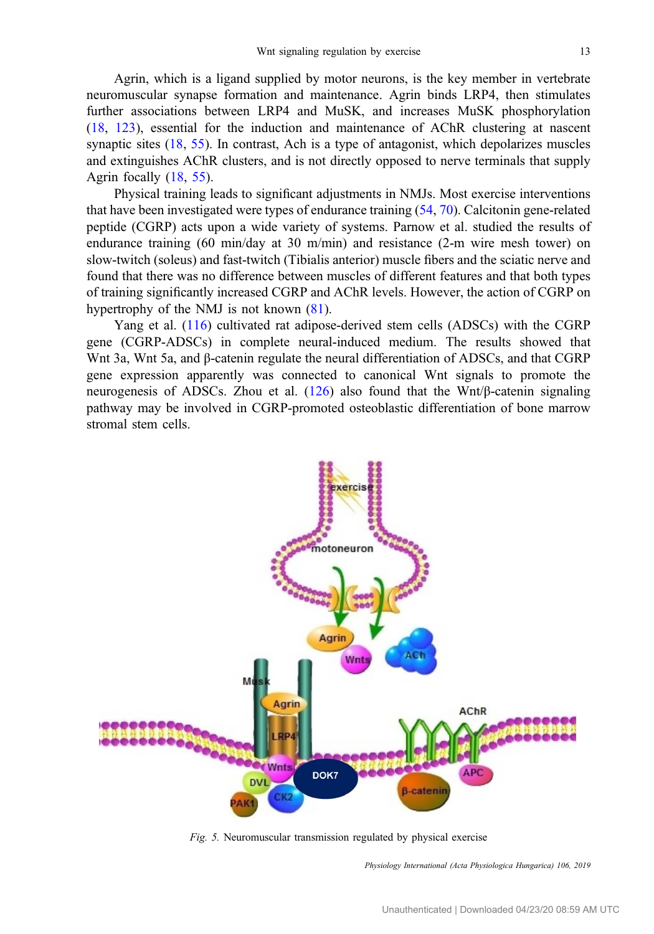<span id="page-12-0"></span>Agrin, which is a ligand supplied by motor neurons, is the key member in vertebrate neuromuscular synapse formation and maintenance. Agrin binds LRP4, then stimulates further associations between LRP4 and MuSK, and increases MuSK phosphorylation [\(18](#page-14-0), [123\)](#page-18-0), essential for the induction and maintenance of AChR clustering at nascent synaptic sites [\(18](#page-14-0), [55](#page-15-0)). In contrast, Ach is a type of antagonist, which depolarizes muscles and extinguishes AChR clusters, and is not directly opposed to nerve terminals that supply Agrin focally ([18,](#page-14-0) [55\)](#page-15-0).

Physical training leads to significant adjustments in NMJs. Most exercise interventions that have been investigated were types of endurance training [\(54](#page-15-0), [70\)](#page-16-0). Calcitonin gene-related peptide (CGRP) acts upon a wide variety of systems. Parnow et al. studied the results of endurance training (60 min/day at 30 m/min) and resistance (2-m wire mesh tower) on slow-twitch (soleus) and fast-twitch (Tibialis anterior) muscle fibers and the sciatic nerve and found that there was no difference between muscles of different features and that both types of training significantly increased CGRP and AChR levels. However, the action of CGRP on hypertrophy of the NMJ is not known  $(81)$  $(81)$ .

Yang et al. ([116\)](#page-18-0) cultivated rat adipose-derived stem cells (ADSCs) with the CGRP gene (CGRP-ADSCs) in complete neural-induced medium. The results showed that Wnt 3a, Wnt 5a, and β-catenin regulate the neural differentiation of ADSCs, and that CGRP gene expression apparently was connected to canonical Wnt signals to promote the neurogenesis of ADSCs. Zhou et al.  $(126)$  $(126)$  also found that the Wnt/β-catenin signaling pathway may be involved in CGRP-promoted osteoblastic differentiation of bone marrow stromal stem cells.



Fig. 5. Neuromuscular transmission regulated by physical exercise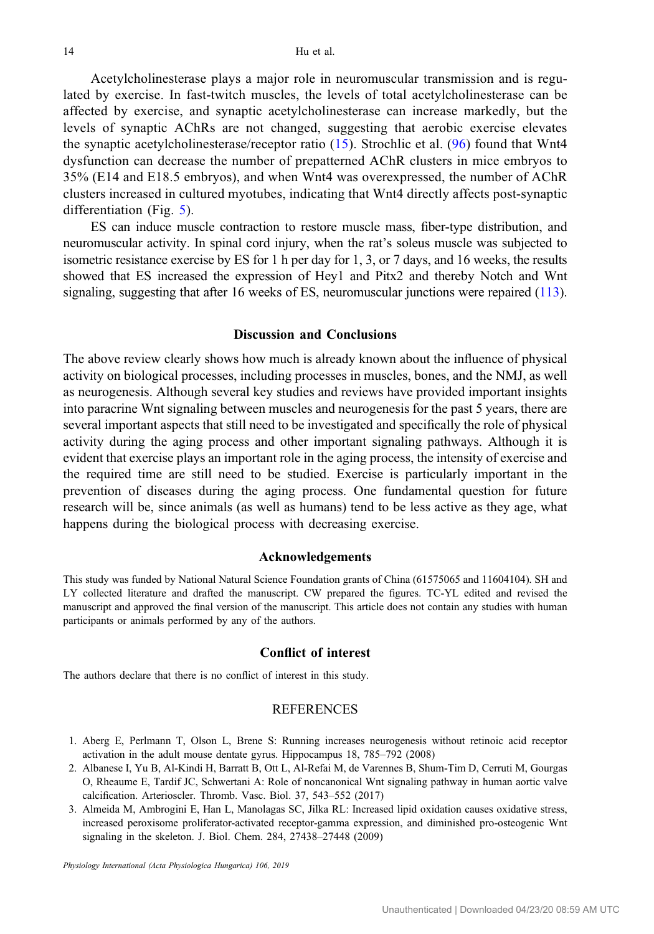<span id="page-13-0"></span>Acetylcholinesterase plays a major role in neuromuscular transmission and is regulated by exercise. In fast-twitch muscles, the levels of total acetylcholinesterase can be affected by exercise, and synaptic acetylcholinesterase can increase markedly, but the levels of synaptic AChRs are not changed, suggesting that aerobic exercise elevates the synaptic acetylcholinesterase/receptor ratio  $(15)$  $(15)$ . Strochlic et al.  $(96)$  $(96)$  $(96)$  found that Wnt4 dysfunction can decrease the number of prepatterned AChR clusters in mice embryos to 35% (E14 and E18.5 embryos), and when Wnt4 was overexpressed, the number of AChR clusters increased in cultured myotubes, indicating that Wnt4 directly affects post-synaptic differentiation (Fig. [5](#page-12-0)).

ES can induce muscle contraction to restore muscle mass, fiber-type distribution, and neuromuscular activity. In spinal cord injury, when the rat's soleus muscle was subjected to isometric resistance exercise by ES for 1 h per day for 1, 3, or 7 days, and 16 weeks, the results showed that ES increased the expression of Hey1 and Pitx2 and thereby Notch and Wnt signaling, suggesting that after 16 weeks of ES, neuromuscular junctions were repaired ([113](#page-18-0)).

## Discussion and Conclusions

The above review clearly shows how much is already known about the influence of physical activity on biological processes, including processes in muscles, bones, and the NMJ, as well as neurogenesis. Although several key studies and reviews have provided important insights into paracrine Wnt signaling between muscles and neurogenesis for the past 5 years, there are several important aspects that still need to be investigated and specifically the role of physical activity during the aging process and other important signaling pathways. Although it is evident that exercise plays an important role in the aging process, the intensity of exercise and the required time are still need to be studied. Exercise is particularly important in the prevention of diseases during the aging process. One fundamental question for future research will be, since animals (as well as humans) tend to be less active as they age, what happens during the biological process with decreasing exercise.

#### Acknowledgements

This study was funded by National Natural Science Foundation grants of China (61575065 and 11604104). SH and LY collected literature and drafted the manuscript. CW prepared the figures. TC-YL edited and revised the manuscript and approved the final version of the manuscript. This article does not contain any studies with human participants or animals performed by any of the authors.

## Conflict of interest

The authors declare that there is no conflict of interest in this study.

### **REFERENCES**

- 1. Aberg E, Perlmann T, Olson L, Brene S: Running increases neurogenesis without retinoic acid receptor activation in the adult mouse dentate gyrus. Hippocampus 18, 785–792 (2008)
- 2. Albanese I, Yu B, Al-Kindi H, Barratt B, Ott L, Al-Refai M, de Varennes B, Shum-Tim D, Cerruti M, Gourgas O, Rheaume E, Tardif JC, Schwertani A: Role of noncanonical Wnt signaling pathway in human aortic valve calcification. Arterioscler. Thromb. Vasc. Biol. 37, 543–552 (2017)
- 3. Almeida M, Ambrogini E, Han L, Manolagas SC, Jilka RL: Increased lipid oxidation causes oxidative stress, increased peroxisome proliferator-activated receptor-gamma expression, and diminished pro-osteogenic Wnt signaling in the skeleton. J. Biol. Chem. 284, 27438–27448 (2009)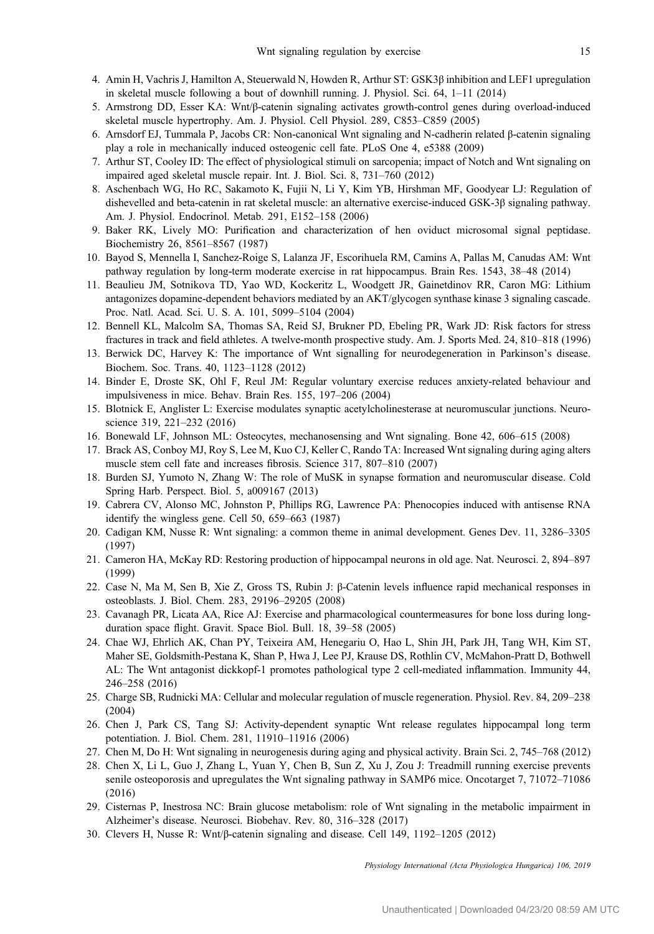- <span id="page-14-0"></span>4. Amin H, Vachris J, Hamilton A, Steuerwald N, Howden R, Arthur ST: GSK3β inhibition and LEF1 upregulation in skeletal muscle following a bout of downhill running. J. Physiol. Sci. 64, 1–11 (2014)
- 5. Armstrong DD, Esser KA: Wnt/β-catenin signaling activates growth-control genes during overload-induced skeletal muscle hypertrophy. Am. J. Physiol. Cell Physiol. 289, C853–C859 (2005)
- 6. Arnsdorf EJ, Tummala P, Jacobs CR: Non-canonical Wnt signaling and N-cadherin related β-catenin signaling play a role in mechanically induced osteogenic cell fate. PLoS One 4, e5388 (2009)
- 7. Arthur ST, Cooley ID: The effect of physiological stimuli on sarcopenia; impact of Notch and Wnt signaling on impaired aged skeletal muscle repair. Int. J. Biol. Sci. 8, 731–760 (2012)
- 8. Aschenbach WG, Ho RC, Sakamoto K, Fujii N, Li Y, Kim YB, Hirshman MF, Goodyear LJ: Regulation of dishevelled and beta-catenin in rat skeletal muscle: an alternative exercise-induced GSK-3β signaling pathway. Am. J. Physiol. Endocrinol. Metab. 291, E152–158 (2006)
- 9. Baker RK, Lively MO: Purification and characterization of hen oviduct microsomal signal peptidase. Biochemistry 26, 8561–8567 (1987)
- 10. Bayod S, Mennella I, Sanchez-Roige S, Lalanza JF, Escorihuela RM, Camins A, Pallas M, Canudas AM: Wnt pathway regulation by long-term moderate exercise in rat hippocampus. Brain Res. 1543, 38–48 (2014)
- 11. Beaulieu JM, Sotnikova TD, Yao WD, Kockeritz L, Woodgett JR, Gainetdinov RR, Caron MG: Lithium antagonizes dopamine-dependent behaviors mediated by an AKT/glycogen synthase kinase 3 signaling cascade. Proc. Natl. Acad. Sci. U. S. A. 101, 5099–5104 (2004)
- 12. Bennell KL, Malcolm SA, Thomas SA, Reid SJ, Brukner PD, Ebeling PR, Wark JD: Risk factors for stress fractures in track and field athletes. A twelve-month prospective study. Am. J. Sports Med. 24, 810–818 (1996)
- 13. Berwick DC, Harvey K: The importance of Wnt signalling for neurodegeneration in Parkinson's disease. Biochem. Soc. Trans. 40, 1123–1128 (2012)
- 14. Binder E, Droste SK, Ohl F, Reul JM: Regular voluntary exercise reduces anxiety-related behaviour and impulsiveness in mice. Behav. Brain Res. 155, 197–206 (2004)
- 15. Blotnick E, Anglister L: Exercise modulates synaptic acetylcholinesterase at neuromuscular junctions. Neuroscience 319, 221–232 (2016)
- 16. Bonewald LF, Johnson ML: Osteocytes, mechanosensing and Wnt signaling. Bone 42, 606–615 (2008)
- 17. Brack AS, Conboy MJ, Roy S, Lee M, Kuo CJ, Keller C, Rando TA: Increased Wnt signaling during aging alters muscle stem cell fate and increases fibrosis. Science 317, 807–810 (2007)
- 18. Burden SJ, Yumoto N, Zhang W: The role of MuSK in synapse formation and neuromuscular disease. Cold Spring Harb. Perspect. Biol. 5, a009167 (2013)
- 19. Cabrera CV, Alonso MC, Johnston P, Phillips RG, Lawrence PA: Phenocopies induced with antisense RNA identify the wingless gene. Cell 50, 659–663 (1987)
- 20. Cadigan KM, Nusse R: Wnt signaling: a common theme in animal development. Genes Dev. 11, 3286–3305 (1997)
- 21. Cameron HA, McKay RD: Restoring production of hippocampal neurons in old age. Nat. Neurosci. 2, 894–897 (1999)
- 22. Case N, Ma M, Sen B, Xie Z, Gross TS, Rubin J: β-Catenin levels influence rapid mechanical responses in osteoblasts. J. Biol. Chem. 283, 29196–29205 (2008)
- 23. Cavanagh PR, Licata AA, Rice AJ: Exercise and pharmacological countermeasures for bone loss during longduration space flight. Gravit. Space Biol. Bull. 18, 39–58 (2005)
- 24. Chae WJ, Ehrlich AK, Chan PY, Teixeira AM, Henegariu O, Hao L, Shin JH, Park JH, Tang WH, Kim ST, Maher SE, Goldsmith-Pestana K, Shan P, Hwa J, Lee PJ, Krause DS, Rothlin CV, McMahon-Pratt D, Bothwell AL: The Wnt antagonist dickkopf-1 promotes pathological type 2 cell-mediated inflammation. Immunity 44, 246–258 (2016)
- 25. Charge SB, Rudnicki MA: Cellular and molecular regulation of muscle regeneration. Physiol. Rev. 84, 209–238 (2004)
- 26. Chen J, Park CS, Tang SJ: Activity-dependent synaptic Wnt release regulates hippocampal long term potentiation. J. Biol. Chem. 281, 11910–11916 (2006)
- 27. Chen M, Do H: Wnt signaling in neurogenesis during aging and physical activity. Brain Sci. 2, 745–768 (2012)
- 28. Chen X, Li L, Guo J, Zhang L, Yuan Y, Chen B, Sun Z, Xu J, Zou J: Treadmill running exercise prevents senile osteoporosis and upregulates the Wnt signaling pathway in SAMP6 mice. Oncotarget 7, 71072–71086 (2016)
- 29. Cisternas P, Inestrosa NC: Brain glucose metabolism: role of Wnt signaling in the metabolic impairment in Alzheimer's disease. Neurosci. Biobehav. Rev. 80, 316–328 (2017)
- 30. Clevers H, Nusse R: Wnt/β-catenin signaling and disease. Cell 149, 1192–1205 (2012)

Unauthenticated | Downloaded 04/23/20 08:59 AM UTC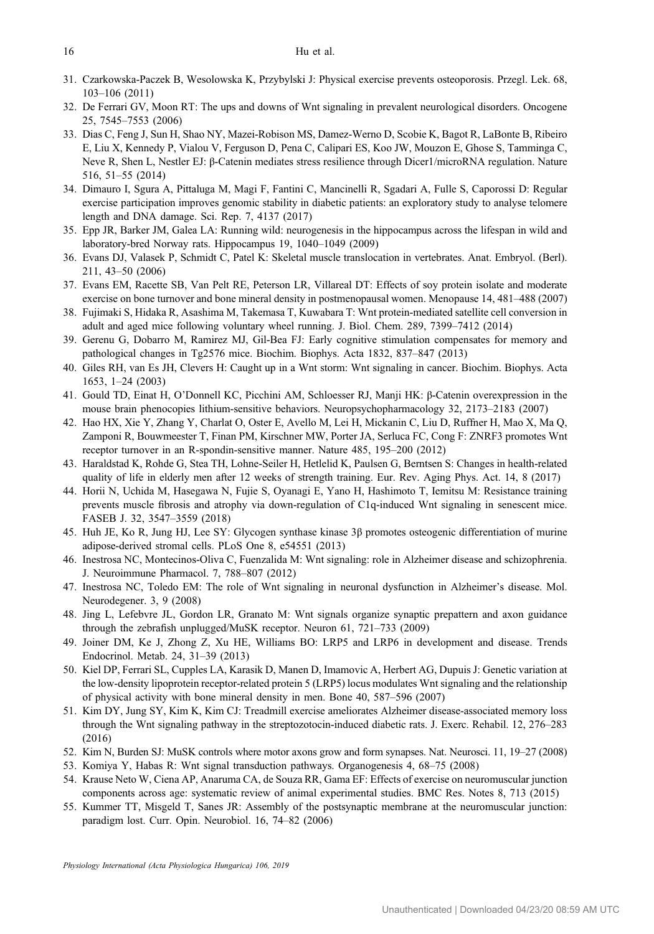- <span id="page-15-0"></span>31. Czarkowska-Paczek B, Wesolowska K, Przybylski J: Physical exercise prevents osteoporosis. Przegl. Lek. 68, 103–106 (2011)
- 32. De Ferrari GV, Moon RT: The ups and downs of Wnt signaling in prevalent neurological disorders. Oncogene 25, 7545–7553 (2006)
- 33. Dias C, Feng J, Sun H, Shao NY, Mazei-Robison MS, Damez-Werno D, Scobie K, Bagot R, LaBonte B, Ribeiro E, Liu X, Kennedy P, Vialou V, Ferguson D, Pena C, Calipari ES, Koo JW, Mouzon E, Ghose S, Tamminga C, Neve R, Shen L, Nestler EJ: β-Catenin mediates stress resilience through Dicer1/microRNA regulation. Nature 516, 51–55 (2014)
- 34. Dimauro I, Sgura A, Pittaluga M, Magi F, Fantini C, Mancinelli R, Sgadari A, Fulle S, Caporossi D: Regular exercise participation improves genomic stability in diabetic patients: an exploratory study to analyse telomere length and DNA damage. Sci. Rep. 7, 4137 (2017)
- 35. Epp JR, Barker JM, Galea LA: Running wild: neurogenesis in the hippocampus across the lifespan in wild and laboratory-bred Norway rats. Hippocampus 19, 1040–1049 (2009)
- 36. Evans DJ, Valasek P, Schmidt C, Patel K: Skeletal muscle translocation in vertebrates. Anat. Embryol. (Berl). 211, 43–50 (2006)
- 37. Evans EM, Racette SB, Van Pelt RE, Peterson LR, Villareal DT: Effects of soy protein isolate and moderate exercise on bone turnover and bone mineral density in postmenopausal women. Menopause 14, 481–488 (2007)
- 38. Fujimaki S, Hidaka R, Asashima M, Takemasa T, Kuwabara T: Wnt protein-mediated satellite cell conversion in adult and aged mice following voluntary wheel running. J. Biol. Chem. 289, 7399–7412 (2014)
- 39. Gerenu G, Dobarro M, Ramirez MJ, Gil-Bea FJ: Early cognitive stimulation compensates for memory and pathological changes in Tg2576 mice. Biochim. Biophys. Acta 1832, 837–847 (2013)
- 40. Giles RH, van Es JH, Clevers H: Caught up in a Wnt storm: Wnt signaling in cancer. Biochim. Biophys. Acta 1653, 1–24 (2003)
- 41. Gould TD, Einat H, O'Donnell KC, Picchini AM, Schloesser RJ, Manji HK: β-Catenin overexpression in the mouse brain phenocopies lithium-sensitive behaviors. Neuropsychopharmacology 32, 2173–2183 (2007)
- 42. Hao HX, Xie Y, Zhang Y, Charlat O, Oster E, Avello M, Lei H, Mickanin C, Liu D, Ruffner H, Mao X, Ma Q, Zamponi R, Bouwmeester T, Finan PM, Kirschner MW, Porter JA, Serluca FC, Cong F: ZNRF3 promotes Wnt receptor turnover in an R-spondin-sensitive manner. Nature 485, 195–200 (2012)
- 43. Haraldstad K, Rohde G, Stea TH, Lohne-Seiler H, Hetlelid K, Paulsen G, Berntsen S: Changes in health-related quality of life in elderly men after 12 weeks of strength training. Eur. Rev. Aging Phys. Act. 14, 8 (2017)
- 44. Horii N, Uchida M, Hasegawa N, Fujie S, Oyanagi E, Yano H, Hashimoto T, Iemitsu M: Resistance training prevents muscle fibrosis and atrophy via down-regulation of C1q-induced Wnt signaling in senescent mice. FASEB J. 32, 3547–3559 (2018)
- 45. Huh JE, Ko R, Jung HJ, Lee SY: Glycogen synthase kinase 3β promotes osteogenic differentiation of murine adipose-derived stromal cells. PLoS One 8, e54551 (2013)
- 46. Inestrosa NC, Montecinos-Oliva C, Fuenzalida M: Wnt signaling: role in Alzheimer disease and schizophrenia. J. Neuroimmune Pharmacol. 7, 788–807 (2012)
- 47. Inestrosa NC, Toledo EM: The role of Wnt signaling in neuronal dysfunction in Alzheimer's disease. Mol. Neurodegener. 3, 9 (2008)
- 48. Jing L, Lefebvre JL, Gordon LR, Granato M: Wnt signals organize synaptic prepattern and axon guidance through the zebrafish unplugged/MuSK receptor. Neuron 61, 721–733 (2009)
- 49. Joiner DM, Ke J, Zhong Z, Xu HE, Williams BO: LRP5 and LRP6 in development and disease. Trends Endocrinol. Metab. 24, 31–39 (2013)
- 50. Kiel DP, Ferrari SL, Cupples LA, Karasik D, Manen D, Imamovic A, Herbert AG, Dupuis J: Genetic variation at the low-density lipoprotein receptor-related protein 5 (LRP5) locus modulates Wnt signaling and the relationship of physical activity with bone mineral density in men. Bone 40, 587–596 (2007)
- 51. Kim DY, Jung SY, Kim K, Kim CJ: Treadmill exercise ameliorates Alzheimer disease-associated memory loss through the Wnt signaling pathway in the streptozotocin-induced diabetic rats. J. Exerc. Rehabil. 12, 276–283 (2016)
- 52. Kim N, Burden SJ: MuSK controls where motor axons grow and form synapses. Nat. Neurosci. 11, 19–27 (2008)
- 53. Komiya Y, Habas R: Wnt signal transduction pathways. Organogenesis 4, 68–75 (2008)
- 54. Krause Neto W, Ciena AP, Anaruma CA, de Souza RR, Gama EF: Effects of exercise on neuromuscular junction components across age: systematic review of animal experimental studies. BMC Res. Notes 8, 713 (2015)
- 55. Kummer TT, Misgeld T, Sanes JR: Assembly of the postsynaptic membrane at the neuromuscular junction: paradigm lost. Curr. Opin. Neurobiol. 16, 74–82 (2006)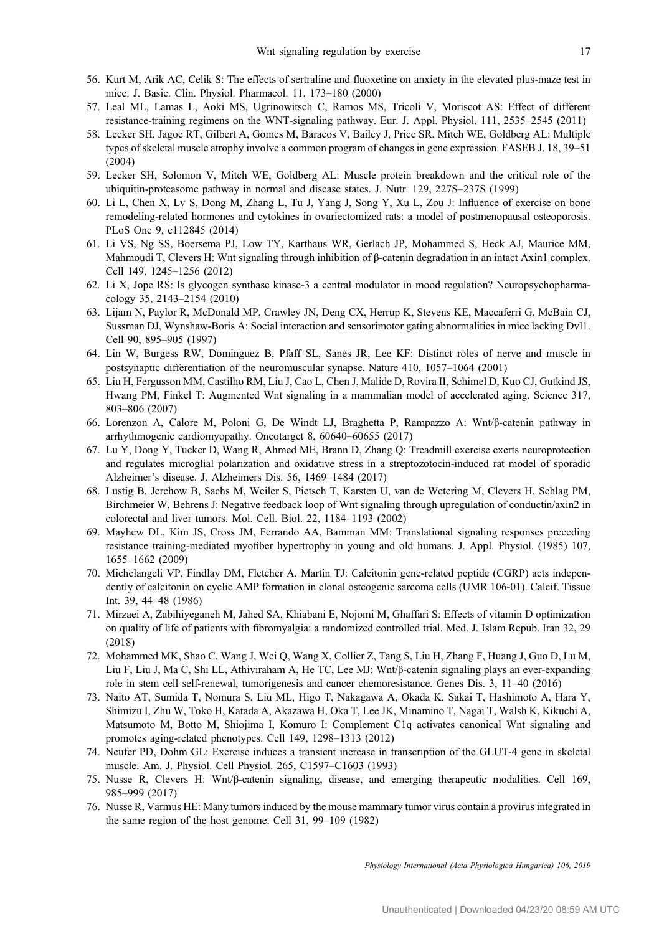- <span id="page-16-0"></span>56. Kurt M, Arik AC, Celik S: The effects of sertraline and fluoxetine on anxiety in the elevated plus-maze test in mice. J. Basic. Clin. Physiol. Pharmacol. 11, 173–180 (2000)
- 57. Leal ML, Lamas L, Aoki MS, Ugrinowitsch C, Ramos MS, Tricoli V, Moriscot AS: Effect of different resistance-training regimens on the WNT-signaling pathway. Eur. J. Appl. Physiol. 111, 2535–2545 (2011)
- 58. Lecker SH, Jagoe RT, Gilbert A, Gomes M, Baracos V, Bailey J, Price SR, Mitch WE, Goldberg AL: Multiple types of skeletal muscle atrophy involve a common program of changes in gene expression. FASEB J. 18, 39–51 (2004)
- 59. Lecker SH, Solomon V, Mitch WE, Goldberg AL: Muscle protein breakdown and the critical role of the ubiquitin-proteasome pathway in normal and disease states. J. Nutr. 129, 227S–237S (1999)
- 60. Li L, Chen X, Lv S, Dong M, Zhang L, Tu J, Yang J, Song Y, Xu L, Zou J: Influence of exercise on bone remodeling-related hormones and cytokines in ovariectomized rats: a model of postmenopausal osteoporosis. PLoS One 9, e112845 (2014)
- 61. Li VS, Ng SS, Boersema PJ, Low TY, Karthaus WR, Gerlach JP, Mohammed S, Heck AJ, Maurice MM, Mahmoudi T, Clevers H: Wnt signaling through inhibition of β-catenin degradation in an intact Axin1 complex. Cell 149, 1245–1256 (2012)
- 62. Li X, Jope RS: Is glycogen synthase kinase-3 a central modulator in mood regulation? Neuropsychopharmacology 35, 2143–2154 (2010)
- 63. Lijam N, Paylor R, McDonald MP, Crawley JN, Deng CX, Herrup K, Stevens KE, Maccaferri G, McBain CJ, Sussman DJ, Wynshaw-Boris A: Social interaction and sensorimotor gating abnormalities in mice lacking Dvl1. Cell 90, 895–905 (1997)
- 64. Lin W, Burgess RW, Dominguez B, Pfaff SL, Sanes JR, Lee KF: Distinct roles of nerve and muscle in postsynaptic differentiation of the neuromuscular synapse. Nature 410, 1057–1064 (2001)
- 65. Liu H, Fergusson MM, Castilho RM, Liu J, Cao L, Chen J, Malide D, Rovira II, Schimel D, Kuo CJ, Gutkind JS, Hwang PM, Finkel T: Augmented Wnt signaling in a mammalian model of accelerated aging. Science 317, 803–806 (2007)
- 66. Lorenzon A, Calore M, Poloni G, De Windt LJ, Braghetta P, Rampazzo A: Wnt/β-catenin pathway in arrhythmogenic cardiomyopathy. Oncotarget 8, 60640–60655 (2017)
- 67. Lu Y, Dong Y, Tucker D, Wang R, Ahmed ME, Brann D, Zhang Q: Treadmill exercise exerts neuroprotection and regulates microglial polarization and oxidative stress in a streptozotocin-induced rat model of sporadic Alzheimer's disease. J. Alzheimers Dis. 56, 1469–1484 (2017)
- 68. Lustig B, Jerchow B, Sachs M, Weiler S, Pietsch T, Karsten U, van de Wetering M, Clevers H, Schlag PM, Birchmeier W, Behrens J: Negative feedback loop of Wnt signaling through upregulation of conductin/axin2 in colorectal and liver tumors. Mol. Cell. Biol. 22, 1184–1193 (2002)
- 69. Mayhew DL, Kim JS, Cross JM, Ferrando AA, Bamman MM: Translational signaling responses preceding resistance training-mediated myofiber hypertrophy in young and old humans. J. Appl. Physiol. (1985) 107, 1655–1662 (2009)
- 70. Michelangeli VP, Findlay DM, Fletcher A, Martin TJ: Calcitonin gene-related peptide (CGRP) acts independently of calcitonin on cyclic AMP formation in clonal osteogenic sarcoma cells (UMR 106-01). Calcif. Tissue Int. 39, 44–48 (1986)
- 71. Mirzaei A, Zabihiyeganeh M, Jahed SA, Khiabani E, Nojomi M, Ghaffari S: Effects of vitamin D optimization on quality of life of patients with fibromyalgia: a randomized controlled trial. Med. J. Islam Repub. Iran 32, 29 (2018)
- 72. Mohammed MK, Shao C, Wang J, Wei Q, Wang X, Collier Z, Tang S, Liu H, Zhang F, Huang J, Guo D, Lu M, Liu F, Liu J, Ma C, Shi LL, Athiviraham A, He TC, Lee MJ: Wnt/β-catenin signaling plays an ever-expanding role in stem cell self-renewal, tumorigenesis and cancer chemoresistance. Genes Dis. 3, 11–40 (2016)
- 73. Naito AT, Sumida T, Nomura S, Liu ML, Higo T, Nakagawa A, Okada K, Sakai T, Hashimoto A, Hara Y, Shimizu I, Zhu W, Toko H, Katada A, Akazawa H, Oka T, Lee JK, Minamino T, Nagai T, Walsh K, Kikuchi A, Matsumoto M, Botto M, Shiojima I, Komuro I: Complement C1q activates canonical Wnt signaling and promotes aging-related phenotypes. Cell 149, 1298–1313 (2012)
- 74. Neufer PD, Dohm GL: Exercise induces a transient increase in transcription of the GLUT-4 gene in skeletal muscle. Am. J. Physiol. Cell Physiol. 265, C1597–C1603 (1993)
- 75. Nusse R, Clevers H: Wnt/β-catenin signaling, disease, and emerging therapeutic modalities. Cell 169, 985–999 (2017)
- 76. Nusse R, Varmus HE: Many tumors induced by the mouse mammary tumor virus contain a provirus integrated in the same region of the host genome. Cell 31, 99–109 (1982)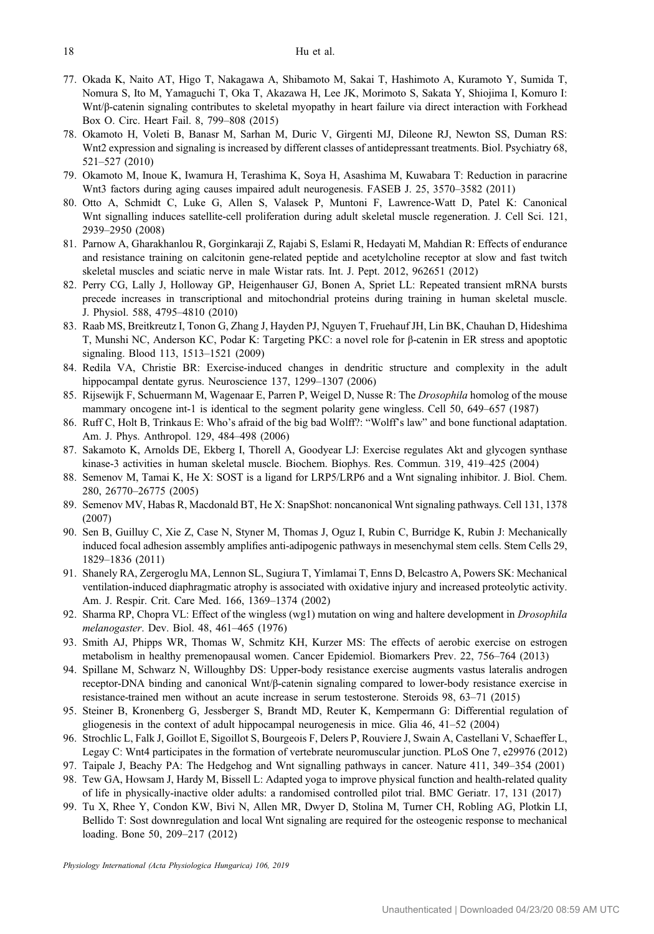- <span id="page-17-0"></span>77. Okada K, Naito AT, Higo T, Nakagawa A, Shibamoto M, Sakai T, Hashimoto A, Kuramoto Y, Sumida T, Nomura S, Ito M, Yamaguchi T, Oka T, Akazawa H, Lee JK, Morimoto S, Sakata Y, Shiojima I, Komuro I: Wnt/β-catenin signaling contributes to skeletal myopathy in heart failure via direct interaction with Forkhead Box O. Circ. Heart Fail. 8, 799–808 (2015)
- 78. Okamoto H, Voleti B, Banasr M, Sarhan M, Duric V, Girgenti MJ, Dileone RJ, Newton SS, Duman RS: Wnt2 expression and signaling is increased by different classes of antidepressant treatments. Biol. Psychiatry 68, 521–527 (2010)
- 79. Okamoto M, Inoue K, Iwamura H, Terashima K, Soya H, Asashima M, Kuwabara T: Reduction in paracrine Wnt3 factors during aging causes impaired adult neurogenesis. FASEB J. 25, 3570–3582 (2011)
- 80. Otto A, Schmidt C, Luke G, Allen S, Valasek P, Muntoni F, Lawrence-Watt D, Patel K: Canonical Wnt signalling induces satellite-cell proliferation during adult skeletal muscle regeneration. J. Cell Sci. 121, 2939–2950 (2008)
- 81. Parnow A, Gharakhanlou R, Gorginkaraji Z, Rajabi S, Eslami R, Hedayati M, Mahdian R: Effects of endurance and resistance training on calcitonin gene-related peptide and acetylcholine receptor at slow and fast twitch skeletal muscles and sciatic nerve in male Wistar rats. Int. J. Pept. 2012, 962651 (2012)
- 82. Perry CG, Lally J, Holloway GP, Heigenhauser GJ, Bonen A, Spriet LL: Repeated transient mRNA bursts precede increases in transcriptional and mitochondrial proteins during training in human skeletal muscle. J. Physiol. 588, 4795–4810 (2010)
- 83. Raab MS, Breitkreutz I, Tonon G, Zhang J, Hayden PJ, Nguyen T, Fruehauf JH, Lin BK, Chauhan D, Hideshima T, Munshi NC, Anderson KC, Podar K: Targeting PKC: a novel role for β-catenin in ER stress and apoptotic signaling. Blood 113, 1513–1521 (2009)
- 84. Redila VA, Christie BR: Exercise-induced changes in dendritic structure and complexity in the adult hippocampal dentate gyrus. Neuroscience 137, 1299–1307 (2006)
- 85. Rijsewijk F, Schuermann M, Wagenaar E, Parren P, Weigel D, Nusse R: The *Drosophila* homolog of the mouse mammary oncogene int-1 is identical to the segment polarity gene wingless. Cell 50, 649–657 (1987)
- 86. Ruff C, Holt B, Trinkaus E: Who's afraid of the big bad Wolff?: "Wolff's law" and bone functional adaptation. Am. J. Phys. Anthropol. 129, 484–498 (2006)
- 87. Sakamoto K, Arnolds DE, Ekberg I, Thorell A, Goodyear LJ: Exercise regulates Akt and glycogen synthase kinase-3 activities in human skeletal muscle. Biochem. Biophys. Res. Commun. 319, 419–425 (2004)
- 88. Semenov M, Tamai K, He X: SOST is a ligand for LRP5/LRP6 and a Wnt signaling inhibitor. J. Biol. Chem. 280, 26770–26775 (2005)
- 89. Semenov MV, Habas R, Macdonald BT, He X: SnapShot: noncanonical Wnt signaling pathways. Cell 131, 1378 (2007)
- 90. Sen B, Guilluy C, Xie Z, Case N, Styner M, Thomas J, Oguz I, Rubin C, Burridge K, Rubin J: Mechanically induced focal adhesion assembly amplifies anti-adipogenic pathways in mesenchymal stem cells. Stem Cells 29, 1829–1836 (2011)
- 91. Shanely RA, Zergeroglu MA, Lennon SL, Sugiura T, Yimlamai T, Enns D, Belcastro A, Powers SK: Mechanical ventilation-induced diaphragmatic atrophy is associated with oxidative injury and increased proteolytic activity. Am. J. Respir. Crit. Care Med. 166, 1369–1374 (2002)
- 92. Sharma RP, Chopra VL: Effect of the wingless (wg1) mutation on wing and haltere development in *Drosophila* melanogaster. Dev. Biol. 48, 461–465 (1976)
- 93. Smith AJ, Phipps WR, Thomas W, Schmitz KH, Kurzer MS: The effects of aerobic exercise on estrogen metabolism in healthy premenopausal women. Cancer Epidemiol. Biomarkers Prev. 22, 756–764 (2013)
- 94. Spillane M, Schwarz N, Willoughby DS: Upper-body resistance exercise augments vastus lateralis androgen receptor-DNA binding and canonical Wnt/β-catenin signaling compared to lower-body resistance exercise in resistance-trained men without an acute increase in serum testosterone. Steroids 98, 63–71 (2015)
- 95. Steiner B, Kronenberg G, Jessberger S, Brandt MD, Reuter K, Kempermann G: Differential regulation of gliogenesis in the context of adult hippocampal neurogenesis in mice. Glia 46, 41–52 (2004)
- 96. Strochlic L, Falk J, Goillot E, Sigoillot S, Bourgeois F, Delers P, Rouviere J, Swain A, Castellani V, Schaeffer L, Legay C: Wnt4 participates in the formation of vertebrate neuromuscular junction. PLoS One 7, e29976 (2012)
- 97. Taipale J, Beachy PA: The Hedgehog and Wnt signalling pathways in cancer. Nature 411, 349–354 (2001) 98. Tew GA, Howsam J, Hardy M, Bissell L: Adapted yoga to improve physical function and health-related quality
- of life in physically-inactive older adults: a randomised controlled pilot trial. BMC Geriatr. 17, 131 (2017)
- 99. Tu X, Rhee Y, Condon KW, Bivi N, Allen MR, Dwyer D, Stolina M, Turner CH, Robling AG, Plotkin LI, Bellido T: Sost downregulation and local Wnt signaling are required for the osteogenic response to mechanical loading. Bone 50, 209–217 (2012)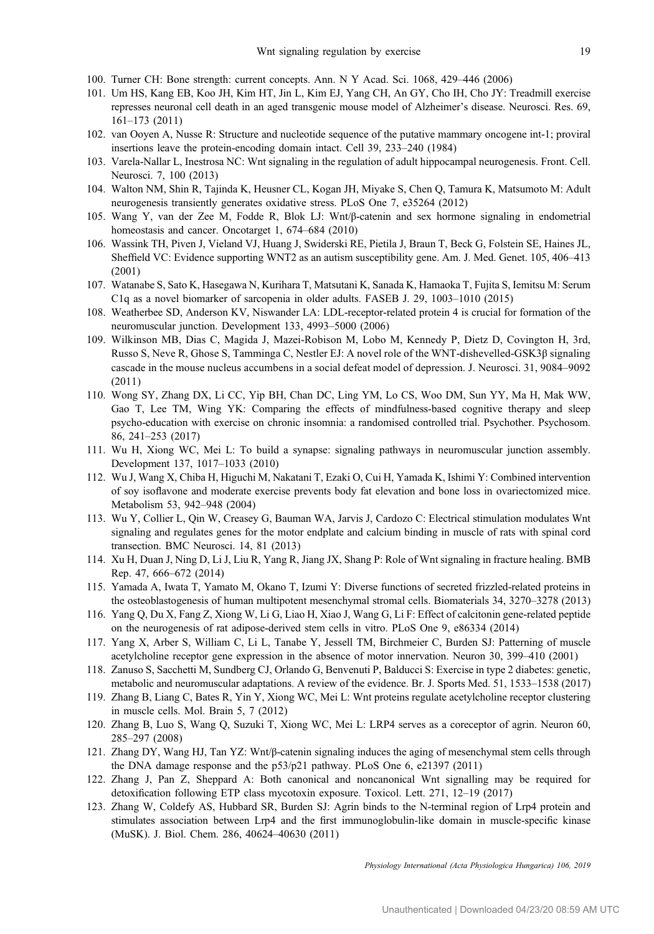- <span id="page-18-0"></span>100. Turner CH: Bone strength: current concepts. Ann. N Y Acad. Sci. 1068, 429–446 (2006)
- 101. Um HS, Kang EB, Koo JH, Kim HT, Jin L, Kim EJ, Yang CH, An GY, Cho IH, Cho JY: Treadmill exercise represses neuronal cell death in an aged transgenic mouse model of Alzheimer's disease. Neurosci. Res. 69, 161–173 (2011)
- 102. van Ooyen A, Nusse R: Structure and nucleotide sequence of the putative mammary oncogene int-1; proviral insertions leave the protein-encoding domain intact. Cell 39, 233–240 (1984)
- 103. Varela-Nallar L, Inestrosa NC: Wnt signaling in the regulation of adult hippocampal neurogenesis. Front. Cell. Neurosci. 7, 100 (2013)
- 104. Walton NM, Shin R, Tajinda K, Heusner CL, Kogan JH, Miyake S, Chen Q, Tamura K, Matsumoto M: Adult neurogenesis transiently generates oxidative stress. PLoS One 7, e35264 (2012)
- 105. Wang Y, van der Zee M, Fodde R, Blok LJ: Wnt/β-catenin and sex hormone signaling in endometrial homeostasis and cancer. Oncotarget 1, 674–684 (2010)
- 106. Wassink TH, Piven J, Vieland VJ, Huang J, Swiderski RE, Pietila J, Braun T, Beck G, Folstein SE, Haines JL, Sheffield VC: Evidence supporting WNT2 as an autism susceptibility gene. Am. J. Med. Genet. 105, 406–413 (2001)
- 107. Watanabe S, Sato K, Hasegawa N, Kurihara T, Matsutani K, Sanada K, Hamaoka T, Fujita S, Iemitsu M: Serum C1q as a novel biomarker of sarcopenia in older adults. FASEB J. 29, 1003–1010 (2015)
- 108. Weatherbee SD, Anderson KV, Niswander LA: LDL-receptor-related protein 4 is crucial for formation of the neuromuscular junction. Development 133, 4993–5000 (2006)
- 109. Wilkinson MB, Dias C, Magida J, Mazei-Robison M, Lobo M, Kennedy P, Dietz D, Covington H, 3rd, Russo S, Neve R, Ghose S, Tamminga C, Nestler EJ: A novel role of the WNT-dishevelled-GSK3β signaling cascade in the mouse nucleus accumbens in a social defeat model of depression. J. Neurosci. 31, 9084–9092 (2011)
- 110. Wong SY, Zhang DX, Li CC, Yip BH, Chan DC, Ling YM, Lo CS, Woo DM, Sun YY, Ma H, Mak WW, Gao T, Lee TM, Wing YK: Comparing the effects of mindfulness-based cognitive therapy and sleep psycho-education with exercise on chronic insomnia: a randomised controlled trial. Psychother. Psychosom. 86, 241–253 (2017)
- 111. Wu H, Xiong WC, Mei L: To build a synapse: signaling pathways in neuromuscular junction assembly. Development 137, 1017–1033 (2010)
- 112. Wu J, Wang X, Chiba H, Higuchi M, Nakatani T, Ezaki O, Cui H, Yamada K, Ishimi Y: Combined intervention of soy isoflavone and moderate exercise prevents body fat elevation and bone loss in ovariectomized mice. Metabolism 53, 942–948 (2004)
- 113. Wu Y, Collier L, Qin W, Creasey G, Bauman WA, Jarvis J, Cardozo C: Electrical stimulation modulates Wnt signaling and regulates genes for the motor endplate and calcium binding in muscle of rats with spinal cord transection. BMC Neurosci. 14, 81 (2013)
- 114. Xu H, Duan J, Ning D, Li J, Liu R, Yang R, Jiang JX, Shang P: Role of Wnt signaling in fracture healing. BMB Rep. 47, 666–672 (2014)
- 115. Yamada A, Iwata T, Yamato M, Okano T, Izumi Y: Diverse functions of secreted frizzled-related proteins in the osteoblastogenesis of human multipotent mesenchymal stromal cells. Biomaterials 34, 3270–3278 (2013)
- 116. Yang Q, Du X, Fang Z, Xiong W, Li G, Liao H, Xiao J, Wang G, Li F: Effect of calcitonin gene-related peptide on the neurogenesis of rat adipose-derived stem cells in vitro. PLoS One 9, e86334 (2014)
- 117. Yang X, Arber S, William C, Li L, Tanabe Y, Jessell TM, Birchmeier C, Burden SJ: Patterning of muscle acetylcholine receptor gene expression in the absence of motor innervation. Neuron 30, 399–410 (2001)
- 118. Zanuso S, Sacchetti M, Sundberg CJ, Orlando G, Benvenuti P, Balducci S: Exercise in type 2 diabetes: genetic, metabolic and neuromuscular adaptations. A review of the evidence. Br. J. Sports Med. 51, 1533–1538 (2017)
- 119. Zhang B, Liang C, Bates R, Yin Y, Xiong WC, Mei L: Wnt proteins regulate acetylcholine receptor clustering in muscle cells. Mol. Brain 5, 7 (2012)
- 120. Zhang B, Luo S, Wang Q, Suzuki T, Xiong WC, Mei L: LRP4 serves as a coreceptor of agrin. Neuron 60, 285–297 (2008)
- 121. Zhang DY, Wang HJ, Tan YZ: Wnt/β-catenin signaling induces the aging of mesenchymal stem cells through the DNA damage response and the p53/p21 pathway. PLoS One 6, e21397 (2011)
- 122. Zhang J, Pan Z, Sheppard A: Both canonical and noncanonical Wnt signalling may be required for detoxification following ETP class mycotoxin exposure. Toxicol. Lett. 271, 12–19 (2017)
- 123. Zhang W, Coldefy AS, Hubbard SR, Burden SJ: Agrin binds to the N-terminal region of Lrp4 protein and stimulates association between Lrp4 and the first immunoglobulin-like domain in muscle-specific kinase (MuSK). J. Biol. Chem. 286, 40624–40630 (2011)